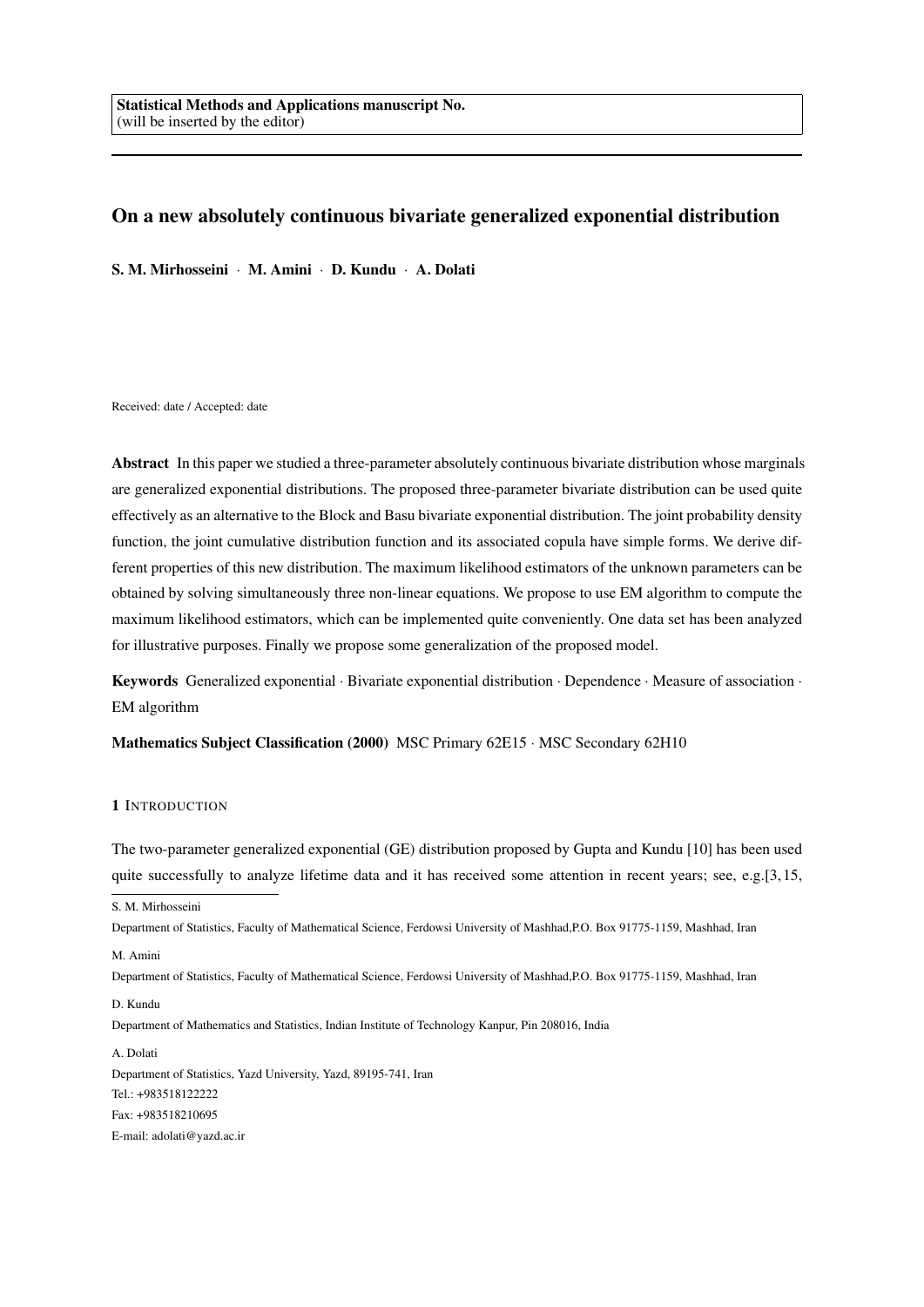# On a new absolutely continuous bivariate generalized exponential distribution

S. M. Mirhosseini *·* M. Amini *·* D. Kundu *·* A. Dolati

Received: date / Accepted: date

Abstract In this paper we studied a three-parameter absolutely continuous bivariate distribution whose marginals are generalized exponential distributions. The proposed three-parameter bivariate distribution can be used quite effectively as an alternative to the Block and Basu bivariate exponential distribution. The joint probability density function, the joint cumulative distribution function and its associated copula have simple forms. We derive different properties of this new distribution. The maximum likelihood estimators of the unknown parameters can be obtained by solving simultaneously three non-linear equations. We propose to use EM algorithm to compute the maximum likelihood estimators, which can be implemented quite conveniently. One data set has been analyzed for illustrative purposes. Finally we propose some generalization of the proposed model.

Keywords Generalized exponential *·* Bivariate exponential distribution *·* Dependence *·* Measure of association *·* EM algorithm

Mathematics Subject Classification (2000) MSC Primary 62E15 *·* MSC Secondary 62H10

# 1 INTRODUCTION

The two-parameter generalized exponential (GE) distribution proposed by Gupta and Kundu [10] has been used quite successfully to analyze lifetime data and it has received some attention in recent years; see, e.g.[3,15,

Department of Statistics, Faculty of Mathematical Science, Ferdowsi University of Mashhad,P.O. Box 91775-1159, Mashhad, Iran

M. Amini

Department of Statistics, Faculty of Mathematical Science, Ferdowsi University of Mashhad,P.O. Box 91775-1159, Mashhad, Iran

## D. Kundu

Department of Mathematics and Statistics, Indian Institute of Technology Kanpur, Pin 208016, India

A. Dolati Department of Statistics, Yazd University, Yazd, 89195-741, Iran Tel.: +983518122222 Fax: +983518210695 E-mail: adolati@yazd.ac.ir

S. M. Mirhosseini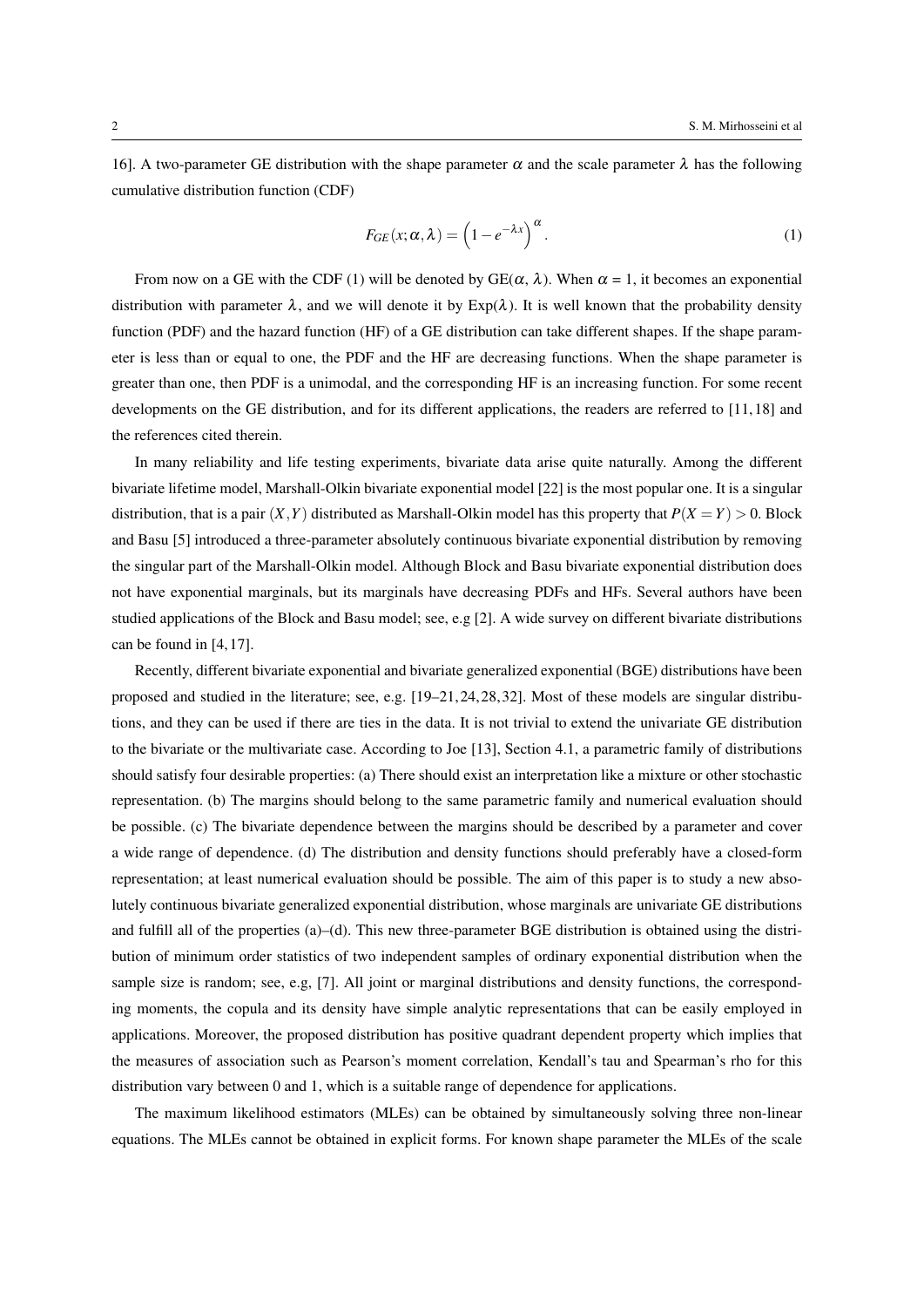16]. A two-parameter GE distribution with the shape parameter  $\alpha$  and the scale parameter  $\lambda$  has the following cumulative distribution function (CDF)

$$
F_{GE}(x; \alpha, \lambda) = \left(1 - e^{-\lambda x}\right)^{\alpha}.
$$
 (1)

From now on a GE with the CDF (1) will be denoted by GE( $\alpha$ ,  $\lambda$ ). When  $\alpha$  = 1, it becomes an exponential distribution with parameter  $\lambda$ , and we will denote it by  $Exp(\lambda)$ . It is well known that the probability density function (PDF) and the hazard function (HF) of a GE distribution can take different shapes. If the shape parameter is less than or equal to one, the PDF and the HF are decreasing functions. When the shape parameter is greater than one, then PDF is a unimodal, and the corresponding HF is an increasing function. For some recent developments on the GE distribution, and for its different applications, the readers are referred to [11, 18] and the references cited therein.

In many reliability and life testing experiments, bivariate data arise quite naturally. Among the different bivariate lifetime model, Marshall-Olkin bivariate exponential model [22] is the most popular one. It is a singular distribution, that is a pair  $(X, Y)$  distributed as Marshall-Olkin model has this property that  $P(X = Y) > 0$ . Block and Basu [5] introduced a three-parameter absolutely continuous bivariate exponential distribution by removing the singular part of the Marshall-Olkin model. Although Block and Basu bivariate exponential distribution does not have exponential marginals, but its marginals have decreasing PDFs and HFs. Several authors have been studied applications of the Block and Basu model; see, e.g [2]. A wide survey on different bivariate distributions can be found in [4, 17].

Recently, different bivariate exponential and bivariate generalized exponential (BGE) distributions have been proposed and studied in the literature; see, e.g. [19–21, 24, 28, 32]. Most of these models are singular distributions, and they can be used if there are ties in the data. It is not trivial to extend the univariate GE distribution to the bivariate or the multivariate case. According to Joe [13], Section 4.1, a parametric family of distributions should satisfy four desirable properties: (a) There should exist an interpretation like a mixture or other stochastic representation. (b) The margins should belong to the same parametric family and numerical evaluation should be possible. (c) The bivariate dependence between the margins should be described by a parameter and cover a wide range of dependence. (d) The distribution and density functions should preferably have a closed-form representation; at least numerical evaluation should be possible. The aim of this paper is to study a new absolutely continuous bivariate generalized exponential distribution, whose marginals are univariate GE distributions and fulfill all of the properties (a)–(d). This new three-parameter BGE distribution is obtained using the distribution of minimum order statistics of two independent samples of ordinary exponential distribution when the sample size is random; see, e.g, [7]. All joint or marginal distributions and density functions, the corresponding moments, the copula and its density have simple analytic representations that can be easily employed in applications. Moreover, the proposed distribution has positive quadrant dependent property which implies that the measures of association such as Pearson's moment correlation, Kendall's tau and Spearman's rho for this distribution vary between 0 and 1, which is a suitable range of dependence for applications.

The maximum likelihood estimators (MLEs) can be obtained by simultaneously solving three non-linear equations. The MLEs cannot be obtained in explicit forms. For known shape parameter the MLEs of the scale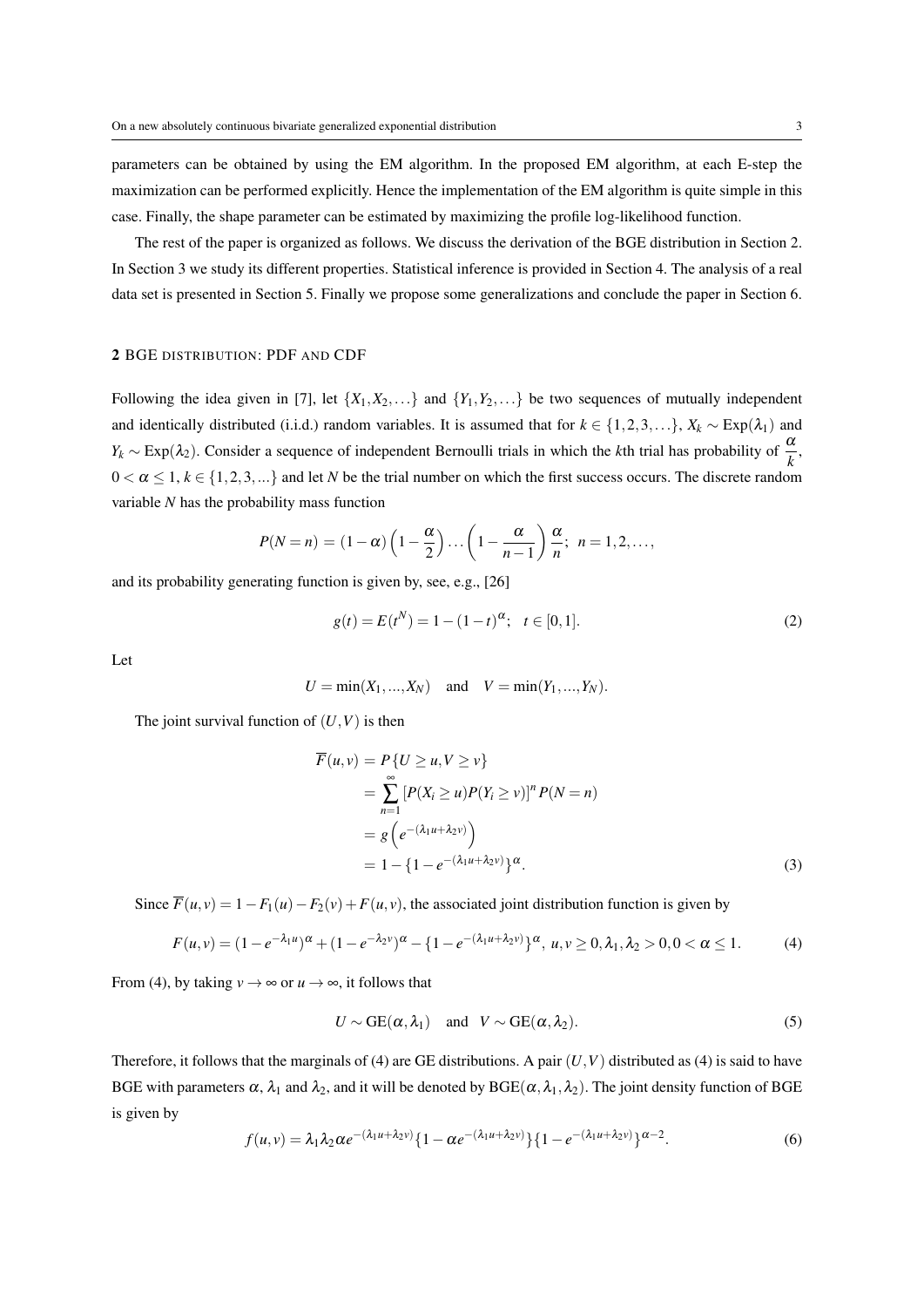parameters can be obtained by using the EM algorithm. In the proposed EM algorithm, at each E-step the maximization can be performed explicitly. Hence the implementation of the EM algorithm is quite simple in this case. Finally, the shape parameter can be estimated by maximizing the profile log-likelihood function.

The rest of the paper is organized as follows. We discuss the derivation of the BGE distribution in Section 2. In Section 3 we study its different properties. Statistical inference is provided in Section 4. The analysis of a real data set is presented in Section 5. Finally we propose some generalizations and conclude the paper in Section 6.

# 2 BGE DISTRIBUTION: PDF AND CDF

Following the idea given in [7], let  $\{X_1, X_2, \ldots\}$  and  $\{Y_1, Y_2, \ldots\}$  be two sequences of mutually independent and identically distributed (i.i.d.) random variables. It is assumed that for  $k \in \{1, 2, 3, ...\}$ ,  $X_k \sim \text{Exp}(\lambda_1)$  and  $Y_k \sim \text{Exp}(\lambda_2)$ . Consider a sequence of independent Bernoulli trials in which the *k*th trial has probability of  $\frac{\alpha}{k}$ ,  $0 < \alpha \leq 1, k \in \{1, 2, 3, ...\}$  and let *N* be the trial number on which the first success occurs. The discrete random variable *N* has the probability mass function

$$
P(N=n) = (1-\alpha)\left(1-\frac{\alpha}{2}\right)\dots\left(1-\frac{\alpha}{n-1}\right)\frac{\alpha}{n};\ \ n=1,2,\dots,
$$

and its probability generating function is given by, see, e.g., [26]

$$
g(t) = E(t^N) = 1 - (1 - t)^{\alpha}; \quad t \in [0, 1].
$$
 (2)

Let

$$
U = \min(X_1, ..., X_N)
$$
 and  $V = \min(Y_1, ..., Y_N)$ .

The joint survival function of  $(U, V)$  is then

$$
\overline{F}(u,v) = P\{U \ge u, V \ge v\}
$$
\n
$$
= \sum_{n=1}^{\infty} [P(X_i \ge u)P(Y_i \ge v)]^n P(N = n)
$$
\n
$$
= g\left(e^{-(\lambda_1 u + \lambda_2 v)}\right)
$$
\n
$$
= 1 - \left\{1 - e^{-(\lambda_1 u + \lambda_2 v)}\right\}^{\alpha}.
$$
\n(3)

Since  $\overline{F}(u, v) = 1 - F_1(u) - F_2(v) + F(u, v)$ , the associated joint distribution function is given by

$$
F(u,v) = (1 - e^{-\lambda_1 u})^{\alpha} + (1 - e^{-\lambda_2 v})^{\alpha} - \{1 - e^{-(\lambda_1 u + \lambda_2 v)}\}^{\alpha}, u, v \ge 0, \lambda_1, \lambda_2 > 0, 0 < \alpha \le 1.
$$
 (4)

From (4), by taking  $v \to \infty$  or  $u \to \infty$ , it follows that

$$
U \sim \text{GE}(\alpha, \lambda_1) \quad \text{and} \quad V \sim \text{GE}(\alpha, \lambda_2). \tag{5}
$$

Therefore, it follows that the marginals of (4) are GE distributions. A pair  $(U, V)$  distributed as (4) is said to have BGE with parameters  $\alpha$ ,  $\lambda_1$  and  $\lambda_2$ , and it will be denoted by BGE( $\alpha$ ,  $\lambda_1$ ,  $\lambda_2$ ). The joint density function of BGE is given by

$$
f(u,v) = \lambda_1 \lambda_2 \alpha e^{-(\lambda_1 u + \lambda_2 v)} \{1 - \alpha e^{-(\lambda_1 u + \lambda_2 v)}\} \{1 - e^{-(\lambda_1 u + \lambda_2 v)}\}^{\alpha - 2}.
$$
 (6)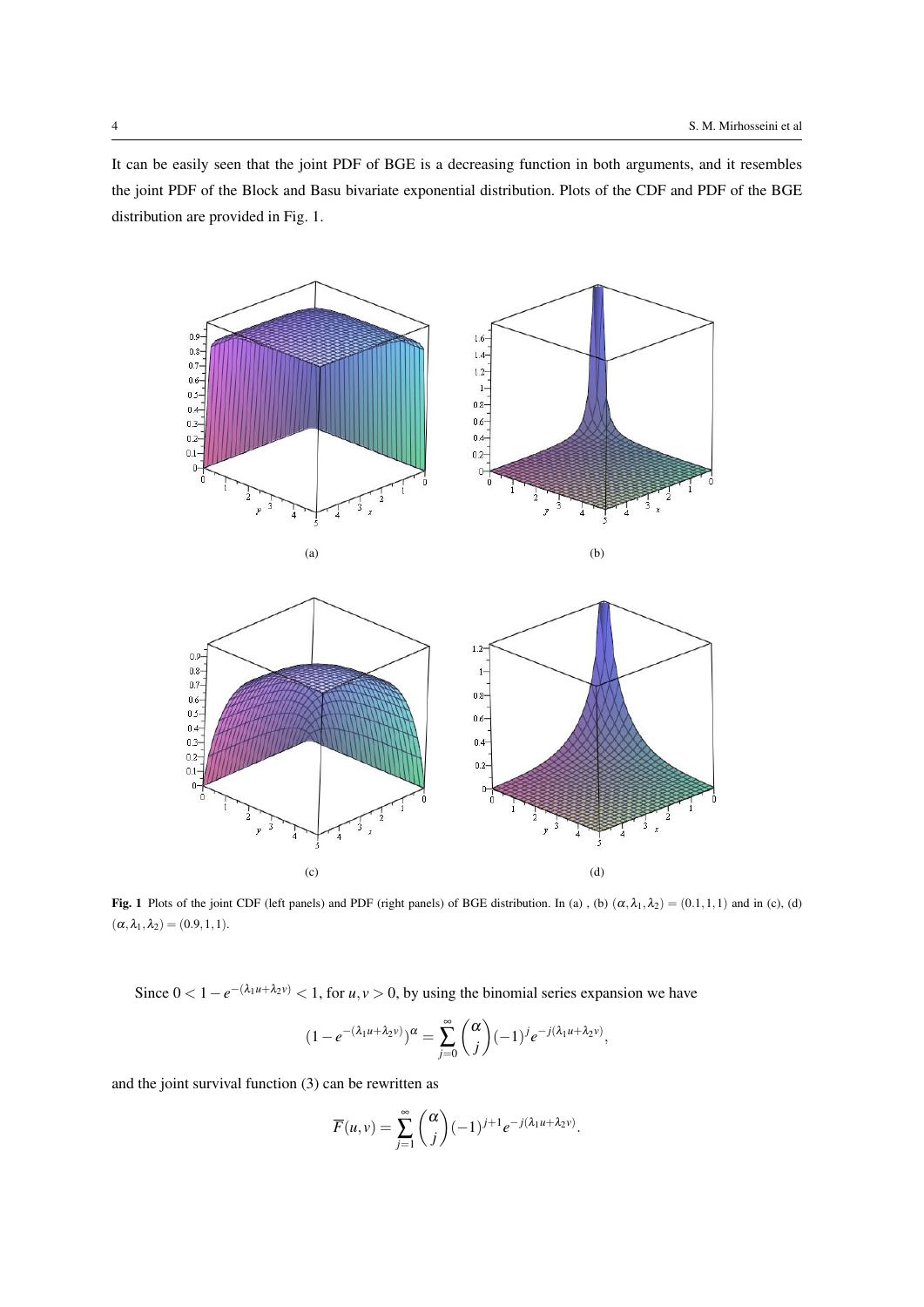It can be easily seen that the joint PDF of BGE is a decreasing function in both arguments, and it resembles the joint PDF of the Block and Basu bivariate exponential distribution. Plots of the CDF and PDF of the BGE distribution are provided in Fig. 1.





Fig. 1 Plots of the joint CDF (left panels) and PDF (right panels) of BGE distribution. In (a), (b)  $(\alpha, \lambda_1, \lambda_2) = (0.1, 1, 1)$  and in (c), (d)  $(\alpha, \lambda_1, \lambda_2) = (0.9, 1, 1).$ 

Since  $0 < 1 - e^{-(\lambda_1 u + \lambda_2 v)} < 1$ , for  $u, v > 0$ , by using the binomial series expansion we have

$$
(1 - e^{-(\lambda_1 u + \lambda_2 v)})^{\alpha} = \sum_{j=0}^{\infty} {\alpha \choose j} (-1)^j e^{-j(\lambda_1 u + \lambda_2 v)},
$$

and the joint survival function (3) can be rewritten as

$$
\overline{F}(u,v) = \sum_{j=1}^{\infty} \binom{\alpha}{j} (-1)^{j+1} e^{-j(\lambda_1 u + \lambda_2 v)}.
$$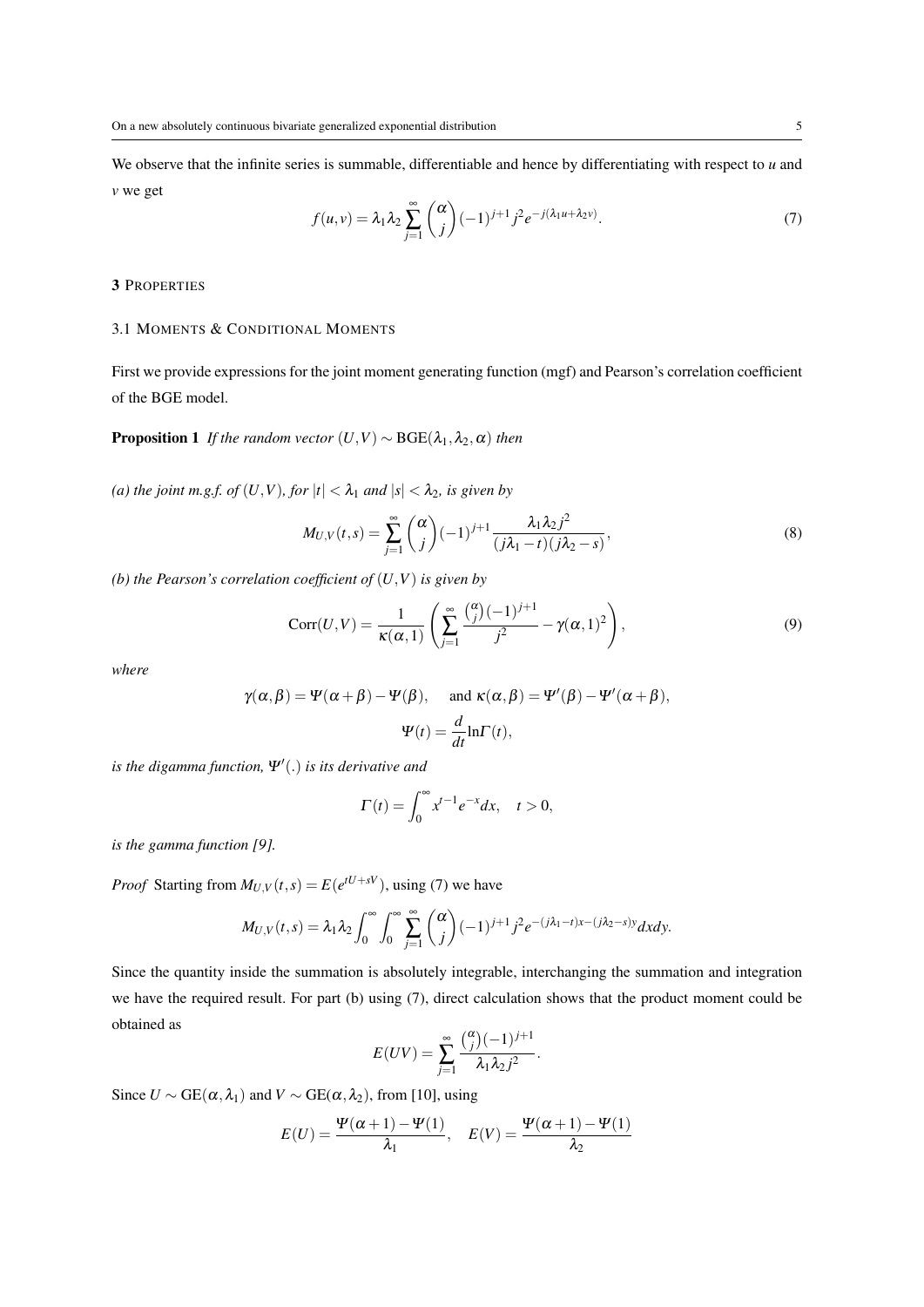We observe that the infinite series is summable, differentiable and hence by differentiating with respect to *u* and *v* we get

$$
f(u,v) = \lambda_1 \lambda_2 \sum_{j=1}^{\infty} {\alpha \choose j} (-1)^{j+1} j^2 e^{-j(\lambda_1 u + \lambda_2 v)}.
$$
 (7)

# 3 PROPERTIES

### 3.1 MOMENTS & CONDITIONAL MOMENTS

First we provide expressions for the joint moment generating function (mgf) and Pearson's correlation coefficient of the BGE model.

**Proposition 1** *If the random vector*  $(U, V) \sim \text{BGE}(\lambda_1, \lambda_2, \alpha)$  *then* 

*(a) the joint m.g.f. of*  $(U, V)$ *, for*  $|t| < \lambda_1$  *and*  $|s| < \lambda_2$ *, is given by* 

$$
M_{U,V}(t,s) = \sum_{j=1}^{\infty} {\alpha \choose j} (-1)^{j+1} \frac{\lambda_1 \lambda_2 j^2}{(j\lambda_1 - t)(j\lambda_2 - s)},
$$
\n(8)

*(b) the Pearson's correlation coefficient of* (*U,V*) *is given by*

$$
Corr(U,V) = \frac{1}{\kappa(\alpha,1)} \left( \sum_{j=1}^{\infty} \frac{\binom{\alpha}{j}(-1)^{j+1}}{j^2} - \gamma(\alpha,1)^2 \right),\tag{9}
$$

*where*

$$
\gamma(\alpha, \beta) = \Psi(\alpha + \beta) - \Psi(\beta),
$$
 and  $\kappa(\alpha, \beta) = \Psi'(\beta) - \Psi'(\alpha + \beta),$   

$$
\Psi(t) = \frac{d}{dt} \ln \Gamma(t),
$$

*is the digamma function,* <sup>Ψ</sup>*′* (*.*) *is its derivative and*

$$
\Gamma(t) = \int_0^\infty x^{t-1} e^{-x} dx, \quad t > 0,
$$

*is the gamma function [9].*

*Proof* Starting from  $M_{U,V}(t,s) = E(e^{tU+sV})$ , using (7) we have

$$
M_{U,V}(t,s)=\lambda_1\lambda_2\int_0^\infty\int_0^\infty\sum_{j=1}^\infty\binom{\alpha}{j}(-1)^{j+1}j^2e^{-(j\lambda_1-t)x-(j\lambda_2-s)y}dxdy.
$$

Since the quantity inside the summation is absolutely integrable, interchanging the summation and integration we have the required result. For part (b) using (7), direct calculation shows that the product moment could be obtained as

$$
E(UV) = \sum_{j=1}^{\infty} \frac{\binom{\alpha}{j} (-1)^{j+1}}{\lambda_1 \lambda_2 j^2}.
$$

Since  $U \sim \text{GE}(\alpha, \lambda_1)$  and  $V \sim \text{GE}(\alpha, \lambda_2)$ , from [10], using

$$
E(U) = \frac{\Psi(\alpha+1) - \Psi(1)}{\lambda_1}, \quad E(V) = \frac{\Psi(\alpha+1) - \Psi(1)}{\lambda_2}
$$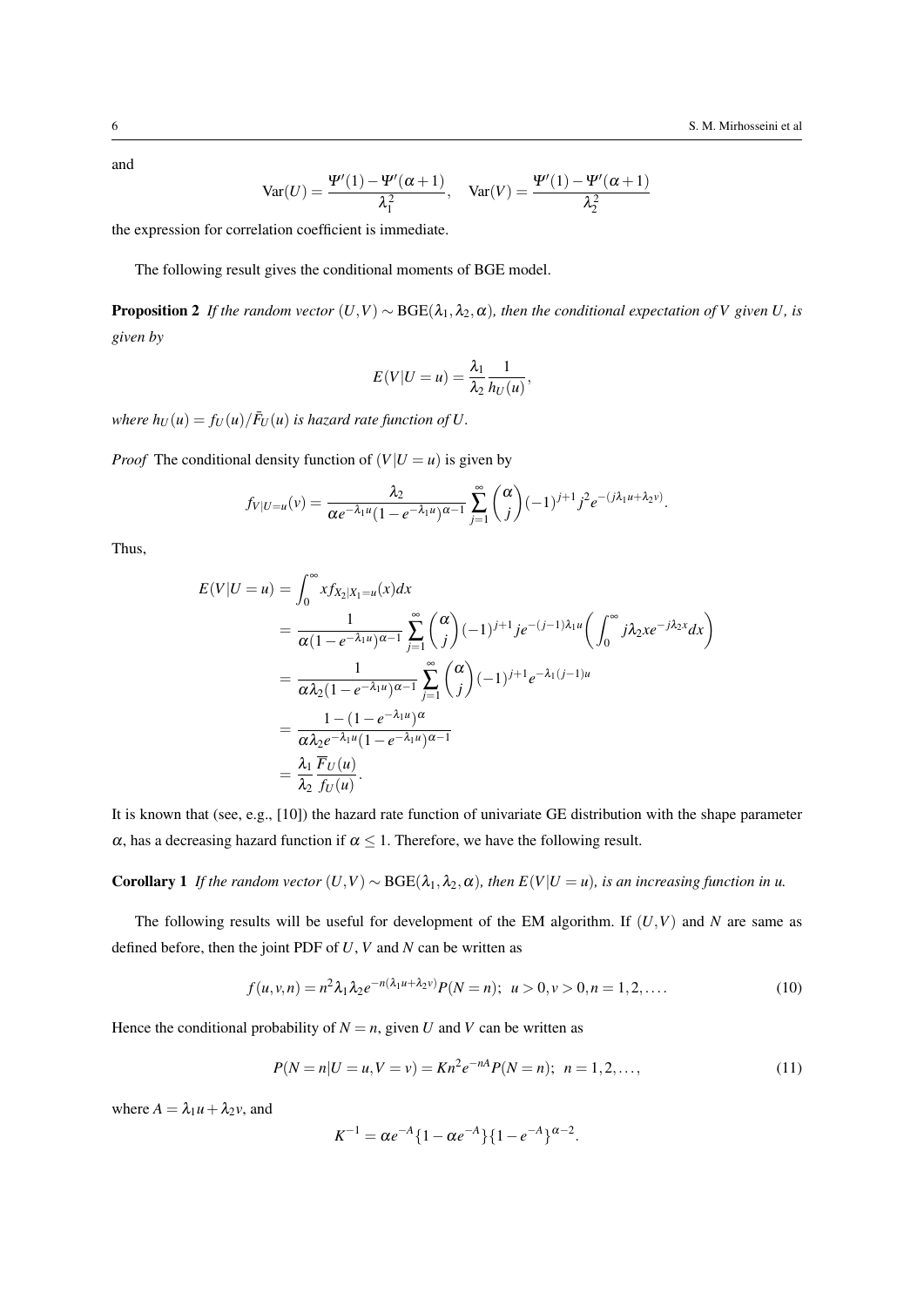and

$$
\text{Var}(U) = \frac{\Psi'(1) - \Psi'(\alpha + 1)}{\lambda_1^2}, \quad \text{Var}(V) = \frac{\Psi'(1) - \Psi'(\alpha + 1)}{\lambda_2^2}
$$

the expression for correlation coefficient is immediate.

The following result gives the conditional moments of BGE model.

**Proposition 2** *If the random vector*  $(U, V) \sim \text{BGE}(\lambda_1, \lambda_2, \alpha)$ *, then the conditional expectation of V* given *U,* is *given by*

$$
E(V|U=u) = \frac{\lambda_1}{\lambda_2} \frac{1}{h_U(u)},
$$

*where*  $h_U(u) = f_U(u) / \bar{F}_U(u)$  *is hazard rate function of U.* 

*Proof* The conditional density function of  $(V|U = u)$  is given by

$$
f_{V|U=u}(v) = \frac{\lambda_2}{\alpha e^{-\lambda_1 u} (1 - e^{-\lambda_1 u})^{\alpha-1}} \sum_{j=1}^{\infty} {\alpha \choose j} (-1)^{j+1} j^2 e^{-(j\lambda_1 u + \lambda_2 v)}.
$$

Thus,

$$
E(V|U = u) = \int_0^\infty x f_{X_2|X_1 = u}(x) dx
$$
  
=  $\frac{1}{\alpha(1 - e^{-\lambda_1 u})^{\alpha - 1}} \sum_{j=1}^\infty {\alpha \choose j} (-1)^{j+1} j e^{-(j-1)\lambda_1 u} \left( \int_0^\infty j \lambda_2 x e^{-j\lambda_2 x} dx \right)$   
=  $\frac{1}{\alpha \lambda_2 (1 - e^{-\lambda_1 u})^{\alpha - 1}} \sum_{j=1}^\infty {\alpha \choose j} (-1)^{j+1} e^{-\lambda_1 (j-1) u}$   
=  $\frac{1 - (1 - e^{-\lambda_1 u})^{\alpha}}{\alpha \lambda_2 e^{-\lambda_1 u} (1 - e^{-\lambda_1 u})^{\alpha - 1}}$   
=  $\frac{\lambda_1}{\lambda_2} \frac{\overline{F}_U(u)}{\overline{f}_U(u)}.$ 

It is known that (see, e.g., [10]) the hazard rate function of univariate GE distribution with the shape parameter  $\alpha$ , has a decreasing hazard function if  $\alpha \leq 1$ . Therefore, we have the following result.

**Corollary 1** *If the random vector*  $(U, V) \sim \text{BGE}(\lambda_1, \lambda_2, \alpha)$ *, then*  $E(V|U = u)$ *, is an increasing function in u.* 

The following results will be useful for development of the EM algorithm. If  $(U, V)$  and N are same as defined before, then the joint PDF of *U*, *V* and *N* can be written as

$$
f(u, v, n) = n^2 \lambda_1 \lambda_2 e^{-n(\lambda_1 u + \lambda_2 v)} P(N = n); \ u > 0, v > 0, n = 1, 2, ....
$$
 (10)

Hence the conditional probability of  $N = n$ , given *U* and *V* can be written as

$$
P(N = n|U = u, V = v) = Kn^2 e^{-nA} P(N = n); \quad n = 1, 2, ..., \tag{11}
$$

where  $A = \lambda_1 u + \lambda_2 v$ , and

$$
K^{-1} = \alpha e^{-A} \{ 1 - \alpha e^{-A} \} \{ 1 - e^{-A} \}^{\alpha - 2}.
$$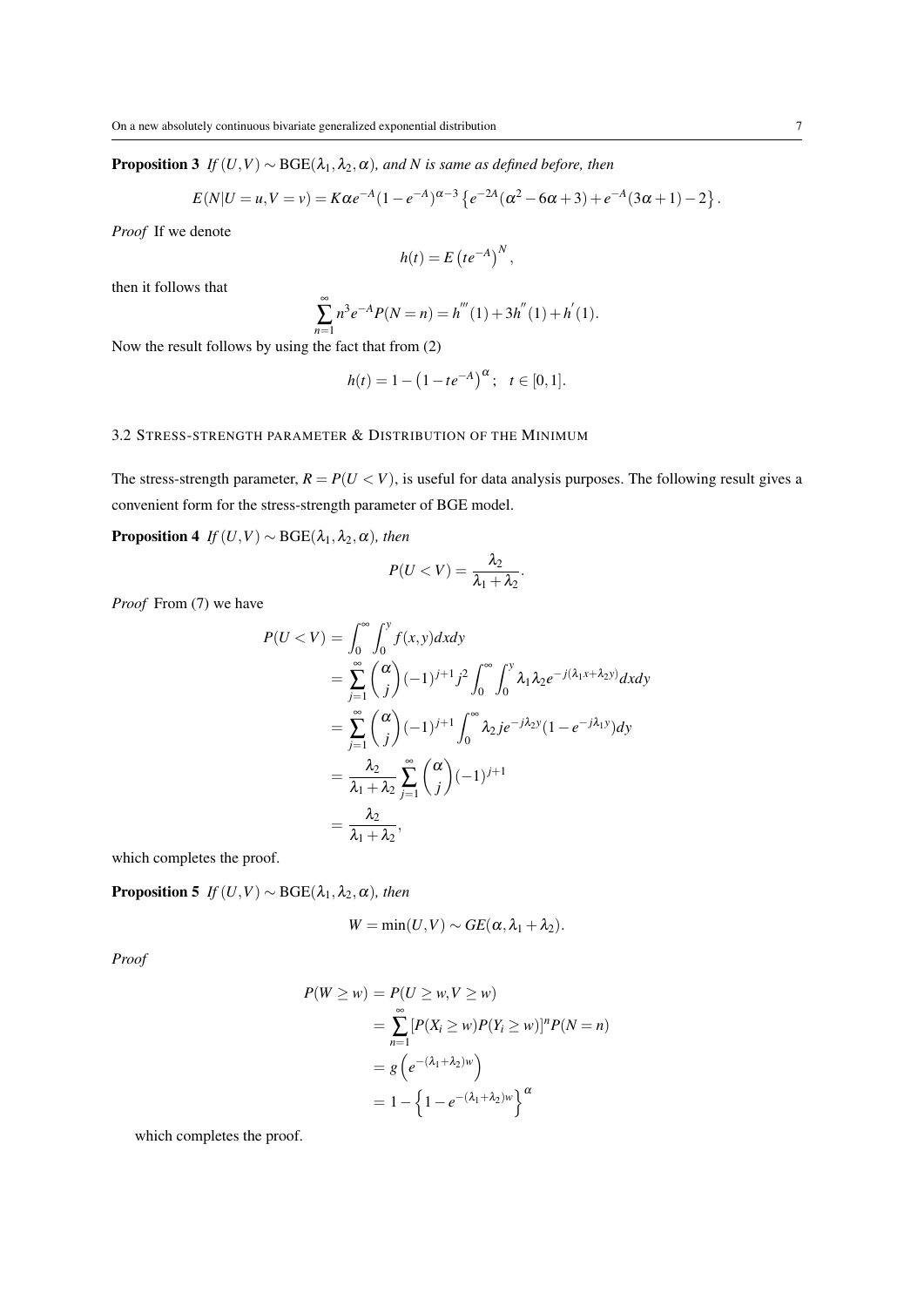**Proposition 3** *If*  $(U, V) \sim \text{BGE}(\lambda_1, \lambda_2, \alpha)$ *, and N is same as defined before, then* 

$$
E(N|U=u,V=v) = K\alpha e^{-A}(1-e^{-A})^{\alpha-3}\left\{e^{-2A}(\alpha^2-6\alpha+3)+e^{-A}(3\alpha+1)-2\right\}.
$$

*Proof* If we denote

$$
h(t) = E\left(te^{-A}\right)^N,
$$

then it follows that

$$
\sum_{n=1}^{\infty} n^3 e^{-A} P(N = n) = h'''(1) + 3h''(1) + h'(1).
$$

Now the result follows by using the fact that from (2)

$$
h(t) = 1 - (1 - te^{-A})^{\alpha}; \quad t \in [0, 1].
$$

## 3.2 STRESS-STRENGTH PARAMETER & DISTRIBUTION OF THE MINIMUM

The stress-strength parameter,  $R = P(U < V)$ , is useful for data analysis purposes. The following result gives a convenient form for the stress-strength parameter of BGE model.

**Proposition 4** *If*  $(U, V) \sim \text{BGE}(\lambda_1, \lambda_2, \alpha)$ *, then* 

$$
P(U < V) = \frac{\lambda_2}{\lambda_1 + \lambda_2}.
$$

*Proof* From (7) we have

$$
P(U < V) = \int_0^{\infty} \int_0^y f(x, y) dx dy
$$
  
= 
$$
\sum_{j=1}^{\infty} \binom{\alpha}{j} (-1)^{j+1} j^2 \int_0^{\infty} \int_0^y \lambda_1 \lambda_2 e^{-j(\lambda_1 x + \lambda_2 y)} dx dy
$$
  
= 
$$
\sum_{j=1}^{\infty} \binom{\alpha}{j} (-1)^{j+1} \int_0^{\infty} \lambda_2 j e^{-j\lambda_2 y} (1 - e^{-j\lambda_1 y}) dy
$$
  
= 
$$
\frac{\lambda_2}{\lambda_1 + \lambda_2} \sum_{j=1}^{\infty} \binom{\alpha}{j} (-1)^{j+1}
$$
  
= 
$$
\frac{\lambda_2}{\lambda_1 + \lambda_2},
$$

which completes the proof.

**Proposition 5** *If*  $(U, V) \sim \text{BGE}(\lambda_1, \lambda_2, \alpha)$ *, then* 

$$
W = \min(U, V) \sim GE(\alpha, \lambda_1 + \lambda_2).
$$

*Proof*

$$
P(W \ge w) = P(U \ge w, V \ge w)
$$
  
= 
$$
\sum_{n=1}^{\infty} [P(X_i \ge w)P(Y_i \ge w)]^n P(N = n)
$$
  
= 
$$
g\left(e^{-(\lambda_1 + \lambda_2)w}\right)
$$
  
= 
$$
1 - \left\{1 - e^{-(\lambda_1 + \lambda_2)w}\right\}^{\alpha}
$$

which completes the proof.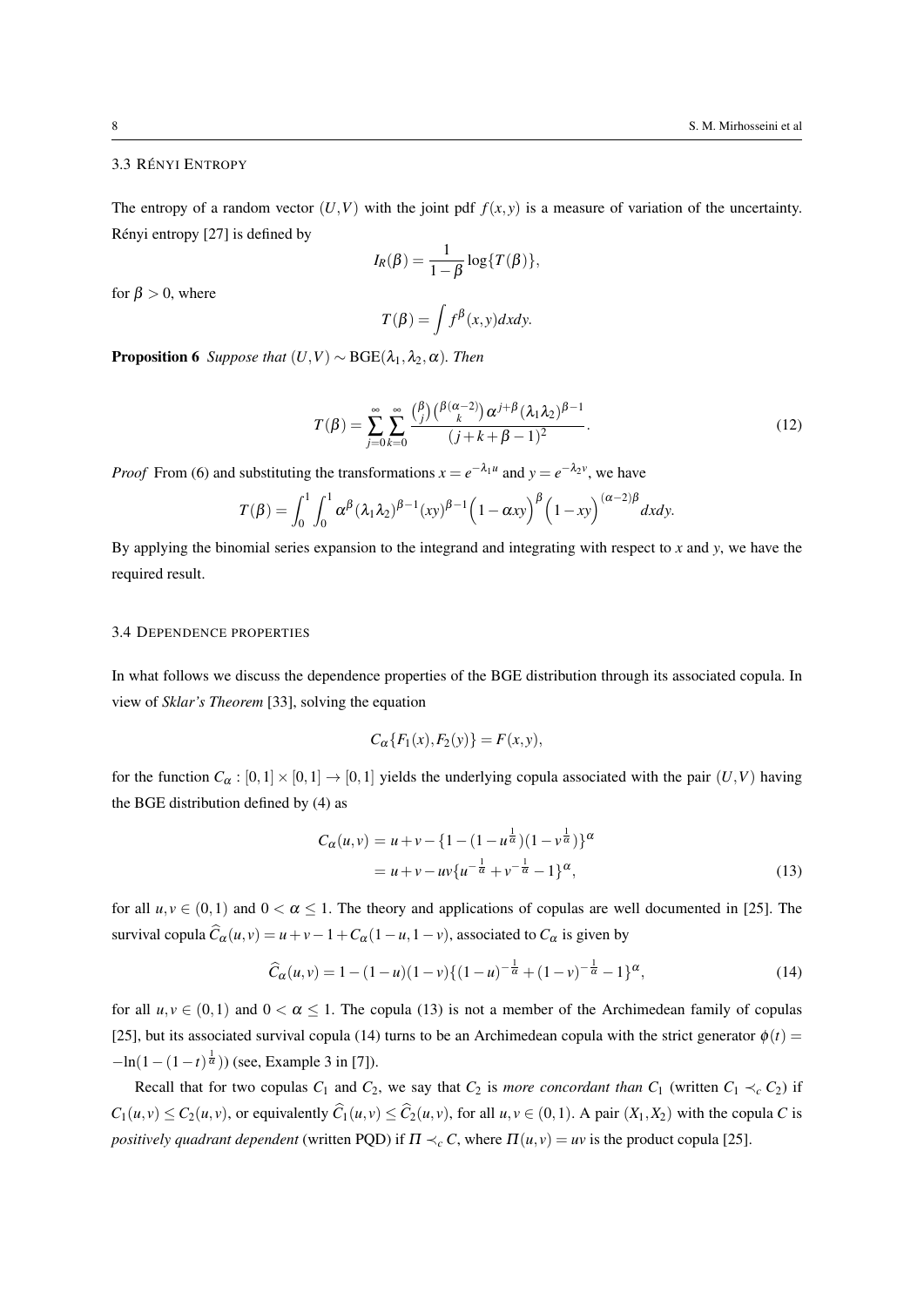#### 3.3 RÉNYI ENTROPY

The entropy of a random vector  $(U, V)$  with the joint pdf  $f(x, y)$  is a measure of variation of the uncertainty. Rényi entropy  $[27]$  is defined by

$$
I_R(\beta) = \frac{1}{1-\beta} \log\{T(\beta)\},\,
$$

for  $\beta > 0$ , where

$$
T(\beta) = \int f^{\beta}(x, y) dx dy.
$$

**Proposition 6** *Suppose that*  $(U, V) \sim \text{BGE}(\lambda_1, \lambda_2, \alpha)$ *. Then* 

$$
T(\beta) = \sum_{j=0}^{\infty} \sum_{k=0}^{\infty} \frac{\binom{\beta}{j} \binom{\beta(\alpha-2)}{k} \alpha^{j+\beta} (\lambda_1 \lambda_2)^{\beta-1}}{(j+k+\beta-1)^2}.
$$
 (12)

*Proof* From (6) and substituting the transformations  $x = e^{-\lambda_1 u}$  and  $y = e^{-\lambda_2 v}$ , we have

$$
T(\beta) = \int_0^1 \int_0^1 \alpha^{\beta} (\lambda_1 \lambda_2)^{\beta - 1} (xy)^{\beta - 1} \left(1 - \alpha xy\right)^{\beta} \left(1 - xy\right)^{(\alpha - 2)\beta} dxdy.
$$

By applying the binomial series expansion to the integrand and integrating with respect to *x* and *y*, we have the required result.

#### 3.4 DEPENDENCE PROPERTIES

In what follows we discuss the dependence properties of the BGE distribution through its associated copula. In view of *Sklar's Theorem* [33], solving the equation

$$
C_{\alpha}\lbrace F_1(x), F_2(y)\rbrace = F(x, y),
$$

for the function  $C_\alpha : [0,1] \times [0,1] \rightarrow [0,1]$  yields the underlying copula associated with the pair  $(U,V)$  having the BGE distribution defined by (4) as

$$
C_{\alpha}(u,v) = u + v - \{1 - (1 - u^{\frac{1}{\alpha}})(1 - v^{\frac{1}{\alpha}})\}^{\alpha}
$$
  
=  $u + v - uv\{u^{-\frac{1}{\alpha}} + v^{-\frac{1}{\alpha}} - 1\}^{\alpha}$ , (13)

for all  $u, v \in (0, 1)$  and  $0 < \alpha \le 1$ . The theory and applications of copulas are well documented in [25]. The survival copula  $\hat{C}_{\alpha}(u, v) = u + v - 1 + C_{\alpha}(1 - u, 1 - v)$ , associated to  $C_{\alpha}$  is given by

$$
\widehat{C}_{\alpha}(u,v) = 1 - (1-u)(1-v)\{(1-u)^{-\frac{1}{\alpha}} + (1-v)^{-\frac{1}{\alpha}} - 1\}^{\alpha},\tag{14}
$$

for all  $u, v \in (0, 1)$  and  $0 < \alpha \le 1$ . The copula (13) is not a member of the Archimedean family of copulas [25], but its associated survival copula (14) turns to be an Archimedean copula with the strict generator  $\phi(t)$  = *−*ln(1 − (1 − *t*)<sup> $\frac{1}{\alpha}$ </sup>)) (see, Example 3 in [7]).

Recall that for two copulas  $C_1$  and  $C_2$ , we say that  $C_2$  is *more concordant than*  $C_1$  (written  $C_1 \prec_c C_2$ ) if  $C_1(u, v) \le C_2(u, v)$ , or equivalently  $\widehat{C}_1(u, v) \le \widehat{C}_2(u, v)$ , for all  $u, v \in (0, 1)$ . A pair  $(X_1, X_2)$  with the copula C is *positively quadrant dependent* (written PQD) if  $\Pi \prec_c C$ , where  $\Pi(u, v) = uv$  is the product copula [25].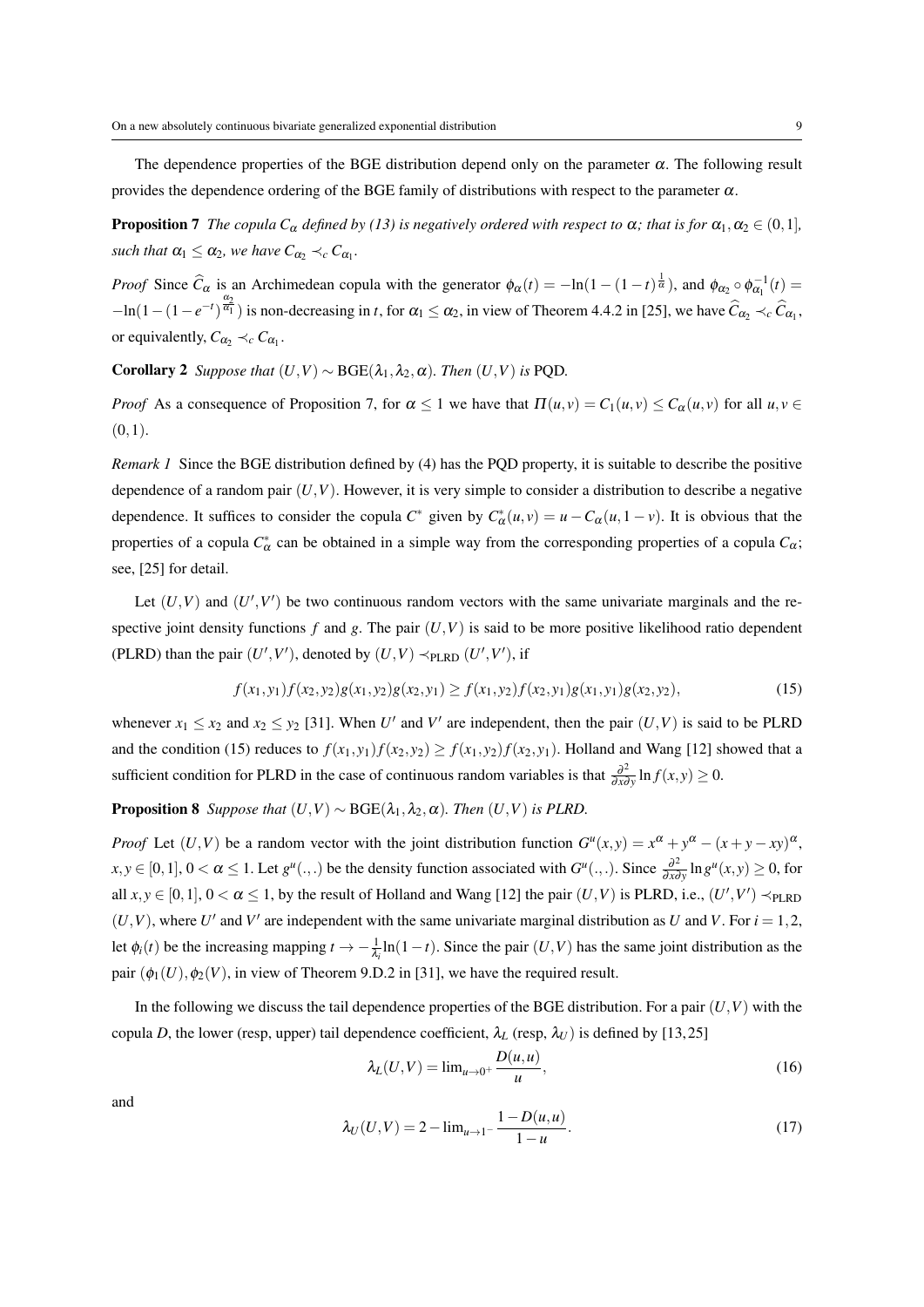The dependence properties of the BGE distribution depend only on the parameter  $\alpha$ . The following result provides the dependence ordering of the BGE family of distributions with respect to the parameter  $\alpha$ .

**Proposition 7** *The copula C<sub>α</sub> defined by (13) is negatively ordered with respect to*  $\alpha$ ; that is for  $\alpha_1, \alpha_2 \in (0,1]$ *, such that*  $\alpha_1 \leq \alpha_2$ , we have  $C_{\alpha_2} \prec_c C_{\alpha_1}$ .

*Proof* Since  $\hat{C}_{\alpha}$  is an Archimedean copula with the generator  $\phi_{\alpha}(t) = -\ln(1-(1-t)^{\frac{1}{\alpha}})$ , and  $\phi_{\alpha_2} \circ \phi_{\alpha_1}^{-1}(t) =$  $-\ln(1-(1-e^{-t})^{\frac{\alpha_2}{\alpha_1}})$  is non-decreasing in *t*, for  $\alpha_1 \leq \alpha_2$ , in view of Theorem 4.4.2 in [25], we have  $\hat{C}_{\alpha_2} \prec_c \hat{C}_{\alpha_1}$ , or equivalently,  $C_{\alpha_2} \prec_c C_{\alpha_1}$ .

**Corollary 2** *Suppose that*  $(U, V) \sim \text{BGE}(\lambda_1, \lambda_2, \alpha)$ *. Then*  $(U, V)$  *is* PQD*.* 

*Proof* As a consequence of Proposition 7, for  $\alpha \le 1$  we have that  $\Pi(u, v) = C_1(u, v) \le C_\alpha(u, v)$  for all  $u, v \in$ (0*,*1).

*Remark 1* Since the BGE distribution defined by (4) has the PQD property, it is suitable to describe the positive dependence of a random pair  $(U, V)$ . However, it is very simple to consider a distribution to describe a negative dependence. It suffices to consider the copula  $C^*$  given by  $C^*_{\alpha}(u, v) = u - C_{\alpha}(u, 1 - v)$ . It is obvious that the properties of a copula  $C^*_{\alpha}$  can be obtained in a simple way from the corresponding properties of a copula  $C_{\alpha}$ ; see, [25] for detail.

Let  $(U, V)$  and  $(U', V')$  be two continuous random vectors with the same univariate marginals and the respective joint density functions  $f$  and  $g$ . The pair  $(U, V)$  is said to be more positive likelihood ratio dependent (PLRD) than the pair  $(U', V')$ , denoted by  $(U, V) \prec_{\text{PLRD}} (U', V')$ , if

$$
f(x_1, y_1) f(x_2, y_2) g(x_1, y_2) g(x_2, y_1) \ge f(x_1, y_2) f(x_2, y_1) g(x_1, y_1) g(x_2, y_2), \tag{15}
$$

whenever  $x_1 \le x_2$  and  $x_2 \le y_2$  [31]. When *U'* and *V'* are independent, then the pair  $(U, V)$  is said to be PLRD and the condition (15) reduces to  $f(x_1,y_1)f(x_2,y_2) \ge f(x_1,y_2)f(x_2,y_1)$ . Holland and Wang [12] showed that a sufficient condition for PLRD in the case of continuous random variables is that  $\frac{\partial^2}{\partial x^2}$  $\frac{\partial^2}{\partial x \partial y} \ln f(x, y) \ge 0.$ 

**Proposition 8** *Suppose that*  $(U, V) \sim \text{BGE}(\lambda_1, \lambda_2, \alpha)$ *. Then*  $(U, V)$  *is PLRD.* 

*Proof* Let  $(U, V)$  be a random vector with the joint distribution function  $G^u(x, y) = x^{\alpha} + y^{\alpha} - (x + y - xy)^{\alpha}$ ,  $x, y \in [0, 1], 0 < \alpha \leq 1$ . Let  $g^u(.,.)$  be the density function associated with  $G^u(.,.)$ . Since  $\frac{\partial^2}{\partial x^2}$  $\frac{\partial^2}{\partial x \partial y} \ln g^u(x, y) \ge 0$ , for all  $x, y \in [0, 1], 0 < \alpha \le 1$ , by the result of Holland and Wang [12] the pair  $(U, V)$  is PLRD, i.e.,  $(U', V') \prec_{\text{PLRD}}$  $(U, V)$ , where  $U'$  and  $V'$  are independent with the same univariate marginal distribution as  $U$  and  $V$ . For  $i = 1, 2$ , let  $\phi_i(t)$  be the increasing mapping  $t \to -\frac{1}{\lambda_i} \ln(1-t)$ . Since the pair  $(U, V)$  has the same joint distribution as the pair  $(\phi_1(U), \phi_2(V))$ , in view of Theorem 9.D.2 in [31], we have the required result.

In the following we discuss the tail dependence properties of the BGE distribution. For a pair  $(U, V)$  with the copula *D*, the lower (resp, upper) tail dependence coefficient,  $\lambda_L$  (resp,  $\lambda_U$ ) is defined by [13,25]

$$
\lambda_L(U,V) = \lim_{u \to 0^+} \frac{D(u,u)}{u},\tag{16}
$$

and

$$
\lambda_U(U, V) = 2 - \lim_{u \to 1^{-}} \frac{1 - D(u, u)}{1 - u}.
$$
\n(17)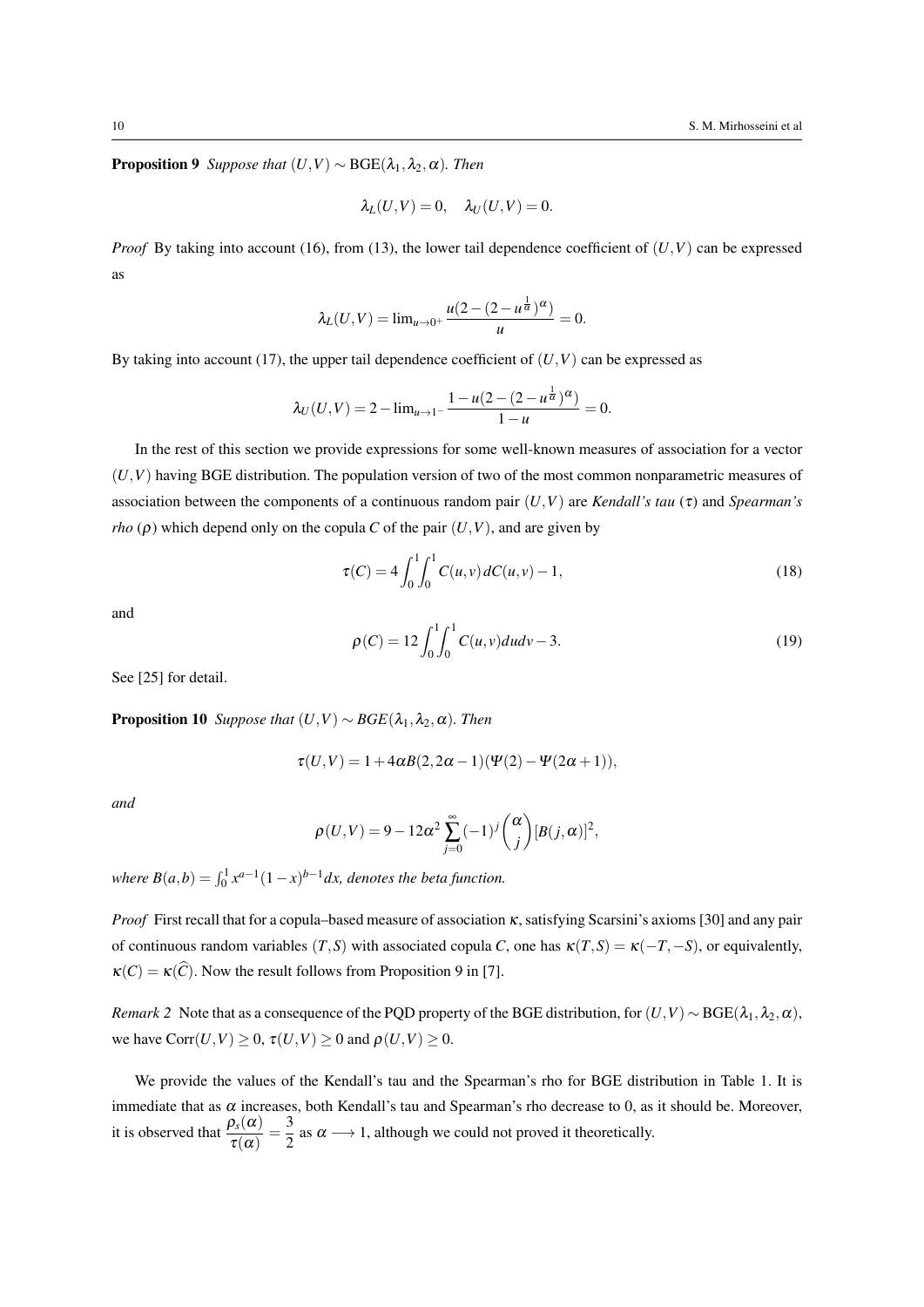**Proposition 9** *Suppose that*  $(U, V) \sim \text{BGE}(\lambda_1, \lambda_2, \alpha)$ *. Then* 

$$
\lambda_L(U,V)=0, \quad \lambda_U(U,V)=0.
$$

*Proof* By taking into account (16), from (13), the lower tail dependence coefficient of  $(U, V)$  can be expressed as

$$
\lambda_L(U,V) = \lim_{u \to 0^+} \frac{u(2 - (2 - u^{\frac{1}{\alpha}})^{\alpha})}{u} = 0.
$$

By taking into account (17), the upper tail dependence coefficient of  $(U, V)$  can be expressed as

$$
\lambda_U(U,V) = 2 - \lim_{u \to 1^-} \frac{1 - u(2 - (2 - u^{\frac{1}{\alpha}})^{\alpha})}{1 - u} = 0.
$$

In the rest of this section we provide expressions for some well-known measures of association for a vector  $(U, V)$  having BGE distribution. The population version of two of the most common nonparametric measures of association between the components of a continuous random pair (*U,V*) are *Kendall's tau* (τ) and *Spearman's rho* ( $\rho$ ) which depend only on the copula *C* of the pair  $(U, V)$ , and are given by

$$
\tau(C) = 4 \int_0^1 \int_0^1 C(u, v) dC(u, v) - 1,
$$
\n(18)

and

$$
\rho(C) = 12 \int_0^1 \int_0^1 C(u, v) du dv - 3.
$$
\n(19)

See [25] for detail.

**Proposition 10** *Suppose that*  $(U, V) \sim BGE(\lambda_1, \lambda_2, \alpha)$ *. Then* 

$$
\tau(U,V) = 1 + 4\alpha B(2,2\alpha - 1)(\Psi(2) - \Psi(2\alpha + 1)),
$$

*and*

$$
\rho(U,V) = 9 - 12\alpha^2 \sum_{j=0}^{\infty} (-1)^j {\alpha \choose j} [B(j,\alpha)]^2,
$$

*where*  $B(a,b) = \int_0^1 x^{a-1}(1-x)^{b-1}dx$ , denotes the beta function.

*Proof* First recall that for a copula–based measure of association κ, satisfying Scarsini's axioms [30] and any pair of continuous random variables  $(T, S)$  with associated copula *C*, one has  $\kappa(T, S) = \kappa(-T, -S)$ , or equivalently,  $\kappa(C) = \kappa(\widehat{C})$ . Now the result follows from Proposition 9 in [7].

*Remark 2* Note that as a consequence of the PQD property of the BGE distribution, for  $(U, V) \sim BGE(\lambda_1, \lambda_2, \alpha)$ , we have  $Corr(U, V) \geq 0$ ,  $\tau(U, V) \geq 0$  and  $\rho(U, V) \geq 0$ .

We provide the values of the Kendall's tau and the Spearman's rho for BGE distribution in Table 1. It is immediate that as  $\alpha$  increases, both Kendall's tau and Spearman's rho decrease to 0, as it should be. Moreover, it is observed that  $\frac{\rho_s(\alpha)}{\tau(\alpha)} = \frac{3}{2}$  $\frac{3}{2}$  as  $\alpha \longrightarrow 1$ , although we could not proved it theoretically.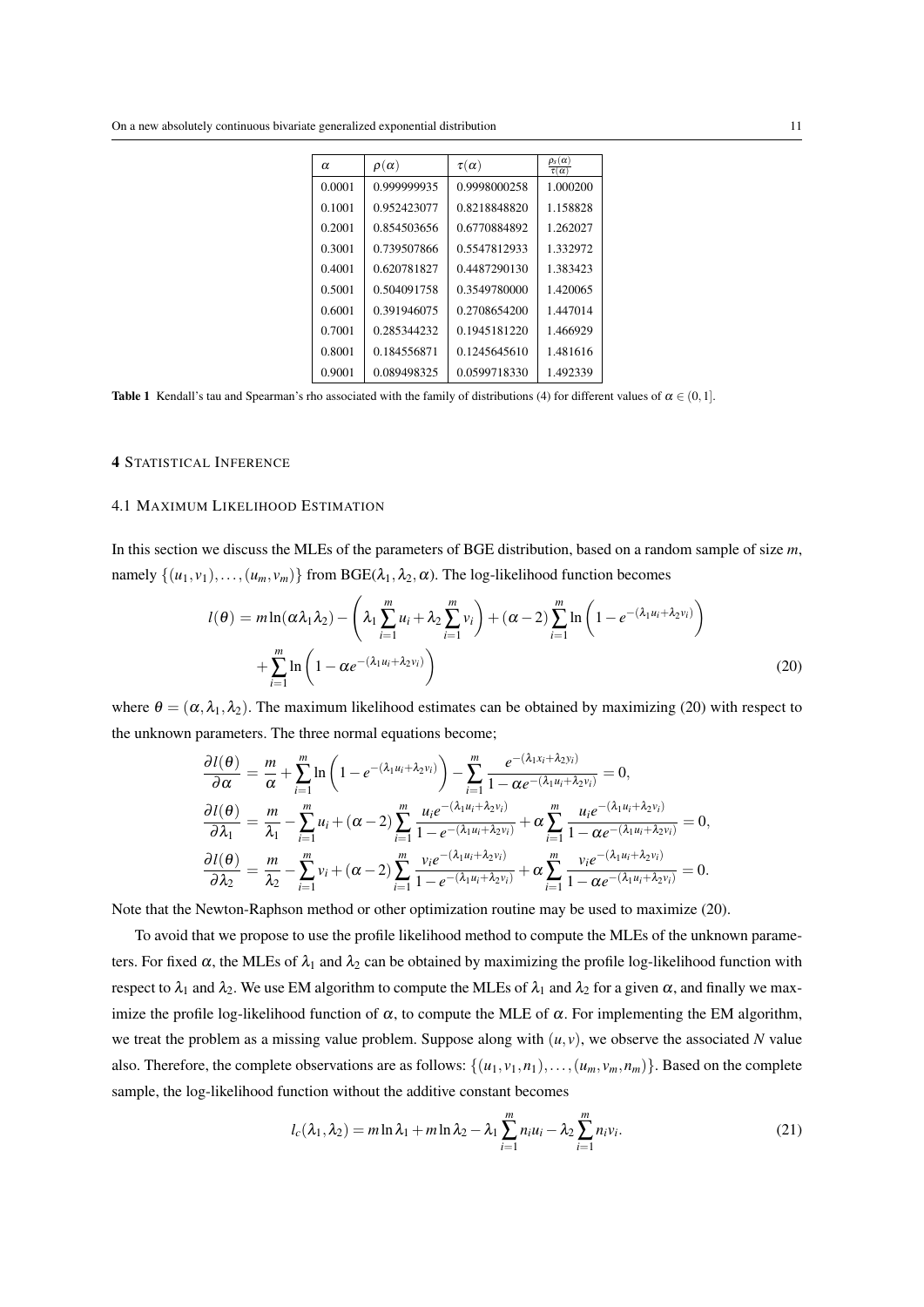| $\alpha$ | $\rho(\alpha)$ | $\tau(\alpha)$ | $\rho_{\scriptscriptstyle S}(\alpha)$<br>$\tau(\alpha)$ |
|----------|----------------|----------------|---------------------------------------------------------|
| 0.0001   | 0.999999935    | 0.9998000258   | 1.000200                                                |
| 0.1001   | 0.952423077    | 0.8218848820   | 1.158828                                                |
| 0.2001   | 0.854503656    | 0.6770884892   | 1.262027                                                |
| 0.3001   | 0.739507866    | 0.5547812933   | 1.332972                                                |
| 0.4001   | 0.620781827    | 0.4487290130   | 1.383423                                                |
| 0.5001   | 0.504091758    | 0.3549780000   | 1.420065                                                |
| 0.6001   | 0.391946075    | 0.2708654200   | 1.447014                                                |
| 0.7001   | 0.285344232    | 0.1945181220   | 1.466929                                                |
| 0.8001   | 0.184556871    | 0.1245645610   | 1.481616                                                |
| 0.9001   | 0.089498325    | 0.0599718330   | 1.492339                                                |

**Table 1** Kendall's tau and Spearman's rho associated with the family of distributions (4) for different values of  $\alpha \in (0,1]$ .

## 4 STATISTICAL INFERENCE

# 4.1 MAXIMUM LIKELIHOOD ESTIMATION

In this section we discuss the MLEs of the parameters of BGE distribution, based on a random sample of size *m*, namely  $\{(u_1, v_1), \ldots, (u_m, v_m)\}$  from BGE( $\lambda_1, \lambda_2, \alpha$ ). The log-likelihood function becomes

$$
l(\theta) = m \ln(\alpha \lambda_1 \lambda_2) - \left(\lambda_1 \sum_{i=1}^m u_i + \lambda_2 \sum_{i=1}^m v_i\right) + (\alpha - 2) \sum_{i=1}^m \ln\left(1 - e^{-(\lambda_1 u_i + \lambda_2 v_i)}\right) + \sum_{i=1}^m \ln\left(1 - \alpha e^{-(\lambda_1 u_i + \lambda_2 v_i)}\right)
$$
\n(20)

where  $\theta = (\alpha, \lambda_1, \lambda_2)$ . The maximum likelihood estimates can be obtained by maximizing (20) with respect to the unknown parameters. The three normal equations become;

$$
\frac{\partial l(\theta)}{\partial \alpha} = \frac{m}{\alpha} + \sum_{i=1}^{m} \ln \left( 1 - e^{-(\lambda_1 u_i + \lambda_2 v_i)} \right) - \sum_{i=1}^{m} \frac{e^{-(\lambda_1 x_i + \lambda_2 y_i)}}{1 - \alpha e^{-(\lambda_1 u_i + \lambda_2 v_i)}} = 0,
$$
\n
$$
\frac{\partial l(\theta)}{\partial \lambda_1} = \frac{m}{\lambda_1} - \sum_{i=1}^{m} u_i + (\alpha - 2) \sum_{i=1}^{m} \frac{u_i e^{-(\lambda_1 u_i + \lambda_2 v_i)}}{1 - e^{-(\lambda_1 u_i + \lambda_2 v_i)}} + \alpha \sum_{i=1}^{m} \frac{u_i e^{-(\lambda_1 u_i + \lambda_2 v_i)}}{1 - \alpha e^{-(\lambda_1 u_i + \lambda_2 v_i)}} = 0,
$$
\n
$$
\frac{\partial l(\theta)}{\partial \lambda_2} = \frac{m}{\lambda_2} - \sum_{i=1}^{m} v_i + (\alpha - 2) \sum_{i=1}^{m} \frac{v_i e^{-(\lambda_1 u_i + \lambda_2 v_i)}}{1 - e^{-(\lambda_1 u_i + \lambda_2 v_i)}} + \alpha \sum_{i=1}^{m} \frac{v_i e^{-(\lambda_1 u_i + \lambda_2 v_i)}}{1 - \alpha e^{-(\lambda_1 u_i + \lambda_2 v_i)}} = 0.
$$

Note that the Newton-Raphson method or other optimization routine may be used to maximize (20).

To avoid that we propose to use the profile likelihood method to compute the MLEs of the unknown parameters. For fixed  $\alpha$ , the MLEs of  $\lambda_1$  and  $\lambda_2$  can be obtained by maximizing the profile log-likelihood function with respect to  $\lambda_1$  and  $\lambda_2$ . We use EM algorithm to compute the MLEs of  $\lambda_1$  and  $\lambda_2$  for a given  $\alpha$ , and finally we maximize the profile log-likelihood function of  $\alpha$ , to compute the MLE of  $\alpha$ . For implementing the EM algorithm, we treat the problem as a missing value problem. Suppose along with  $(u, v)$ , we observe the associated N value also. Therefore, the complete observations are as follows:  $\{(u_1, v_1, n_1), \ldots, (u_m, v_m, n_m)\}$ . Based on the complete sample, the log-likelihood function without the additive constant becomes

$$
l_c(\lambda_1, \lambda_2) = m \ln \lambda_1 + m \ln \lambda_2 - \lambda_1 \sum_{i=1}^m n_i u_i - \lambda_2 \sum_{i=1}^m n_i v_i.
$$
 (21)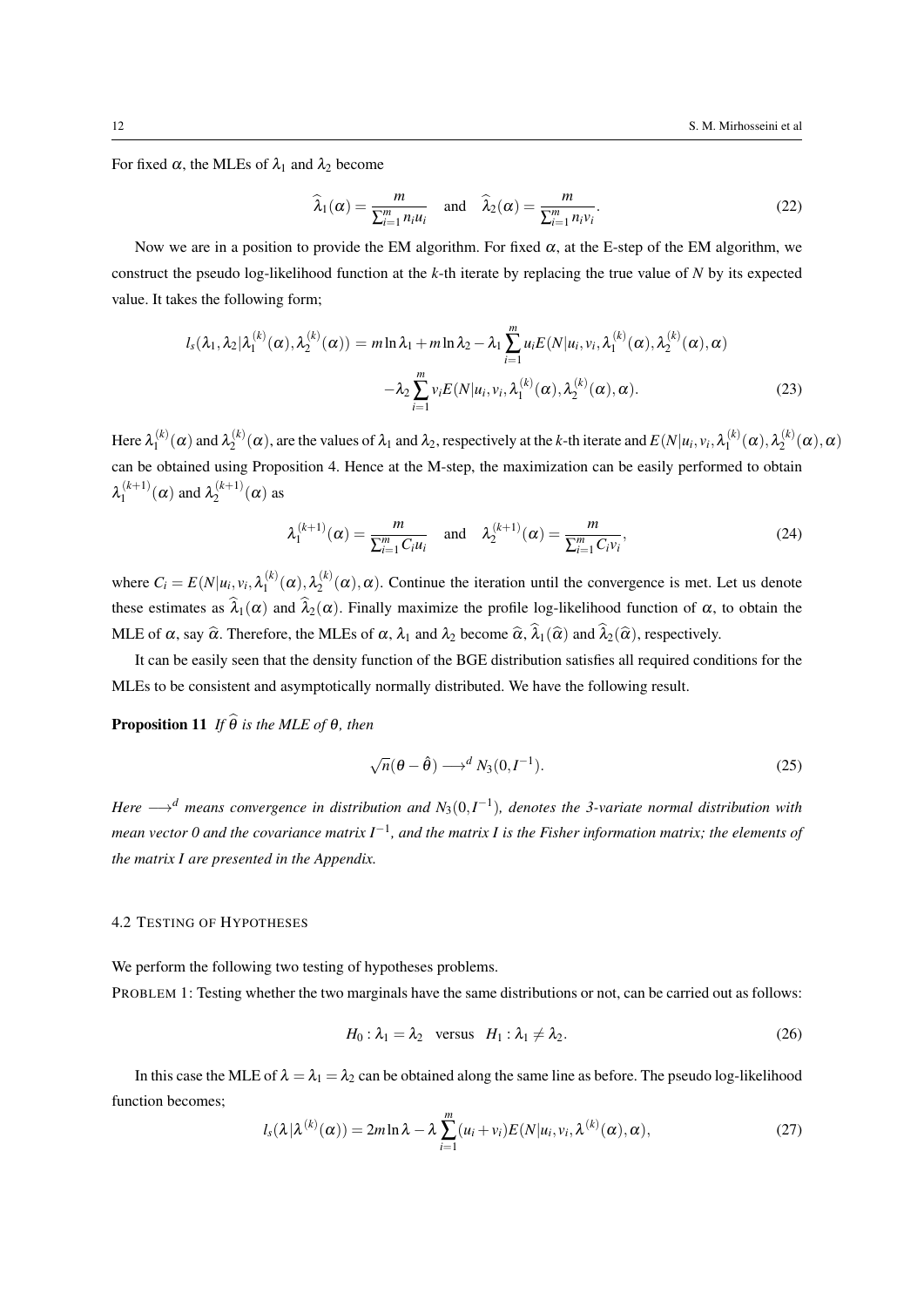For fixed  $\alpha$ , the MLEs of  $\lambda_1$  and  $\lambda_2$  become

$$
\widehat{\lambda}_1(\alpha) = \frac{m}{\sum_{i=1}^m n_i u_i} \quad \text{and} \quad \widehat{\lambda}_2(\alpha) = \frac{m}{\sum_{i=1}^m n_i v_i}.
$$
\n(22)

Now we are in a position to provide the EM algorithm. For fixed  $\alpha$ , at the E-step of the EM algorithm, we construct the pseudo log-likelihood function at the *k*-th iterate by replacing the true value of *N* by its expected value. It takes the following form;

$$
l_s(\lambda_1, \lambda_2 | \lambda_1^{(k)}(\alpha), \lambda_2^{(k)}(\alpha)) = m \ln \lambda_1 + m \ln \lambda_2 - \lambda_1 \sum_{i=1}^m u_i E(N | u_i, v_i, \lambda_1^{(k)}(\alpha), \lambda_2^{(k)}(\alpha), \alpha)
$$

$$
- \lambda_2 \sum_{i=1}^m v_i E(N | u_i, v_i, \lambda_1^{(k)}(\alpha), \lambda_2^{(k)}(\alpha), \alpha). \tag{23}
$$

Here  $\lambda_1^{(k)}$  $\lambda_1^{(k)}(\alpha)$  and  $\lambda_2^{(k)}$  $\chi_2^{(k)}(\alpha)$ , are the values of  $\lambda_1$  and  $\lambda_2$ , respectively at the *k*-th iterate and  $E(N|u_i, v_i, \lambda_1^{(k)})$  $\lambda_1^{(k)}(\boldsymbol{\alpha}),\lambda_2^{(k)}$  $\alpha_2^{(\kappa)}(\alpha),\alpha)$ can be obtained using Proposition 4. Hence at the M-step, the maximization can be easily performed to obtain  $\lambda_1^{(k+1)}$  $\lambda_1^{(k+1)}(\alpha)$  and  $\lambda_2^{(k+1)}$  $2^{(\kappa+1)}(\alpha)$  as

$$
\lambda_1^{(k+1)}(\alpha) = \frac{m}{\sum_{i=1}^m C_i u_i} \quad \text{and} \quad \lambda_2^{(k+1)}(\alpha) = \frac{m}{\sum_{i=1}^m C_i v_i},\tag{24}
$$

where  $C_i = E(N|u_i, v_i, \lambda_1^{(k)})$  $\lambda_1^{(k)}(\boldsymbol{\alpha}),\lambda_2^{(k)}$  $2^{(\kappa)}(\alpha)$ ,  $\alpha$ ). Continue the iteration until the convergence is met. Let us denote these estimates as  $\hat{\lambda}_1(\alpha)$  and  $\hat{\lambda}_2(\alpha)$ . Finally maximize the profile log-likelihood function of  $\alpha$ , to obtain the MLE of  $\alpha$ , say  $\widehat{\alpha}$ . Therefore, the MLEs of  $\alpha$ ,  $\lambda_1$  and  $\lambda_2$  become  $\widehat{\alpha}$ ,  $\lambda_1(\widehat{\alpha})$  and  $\lambda_2(\widehat{\alpha})$ , respectively.

It can be easily seen that the density function of the BGE distribution satisfies all required conditions for the MLEs to be consistent and asymptotically normally distributed. We have the following result.

**Proposition 11** *If*  $\widehat{\theta}$  *is the MLE of*  $\theta$ *, then* 

$$
\sqrt{n}(\theta - \hat{\theta}) \longrightarrow^{d} N_3(0, I^{-1}).
$$
\n(25)

*Here −→<sup>d</sup> means convergence in distribution and N*3(0*,I −*1 )*, denotes the 3-variate normal distribution with mean vector 0 and the covariance matrix I<sup>−1</sup>, and the matrix I is the Fisher information matrix; the elements of the matrix I are presented in the Appendix.*

#### 4.2 TESTING OF HYPOTHESES

We perform the following two testing of hypotheses problems. PROBLEM 1: Testing whether the two marginals have the same distributions or not, can be carried out as follows:

$$
H_0: \lambda_1 = \lambda_2 \quad \text{versus} \quad H_1: \lambda_1 \neq \lambda_2. \tag{26}
$$

In this case the MLE of  $\lambda = \lambda_1 = \lambda_2$  can be obtained along the same line as before. The pseudo log-likelihood function becomes;

$$
l_s(\lambda|\lambda^{(k)}(\alpha)) = 2m\ln\lambda - \lambda \sum_{i=1}^m (u_i + v_i)E(N|u_i, v_i, \lambda^{(k)}(\alpha), \alpha),
$$
\n(27)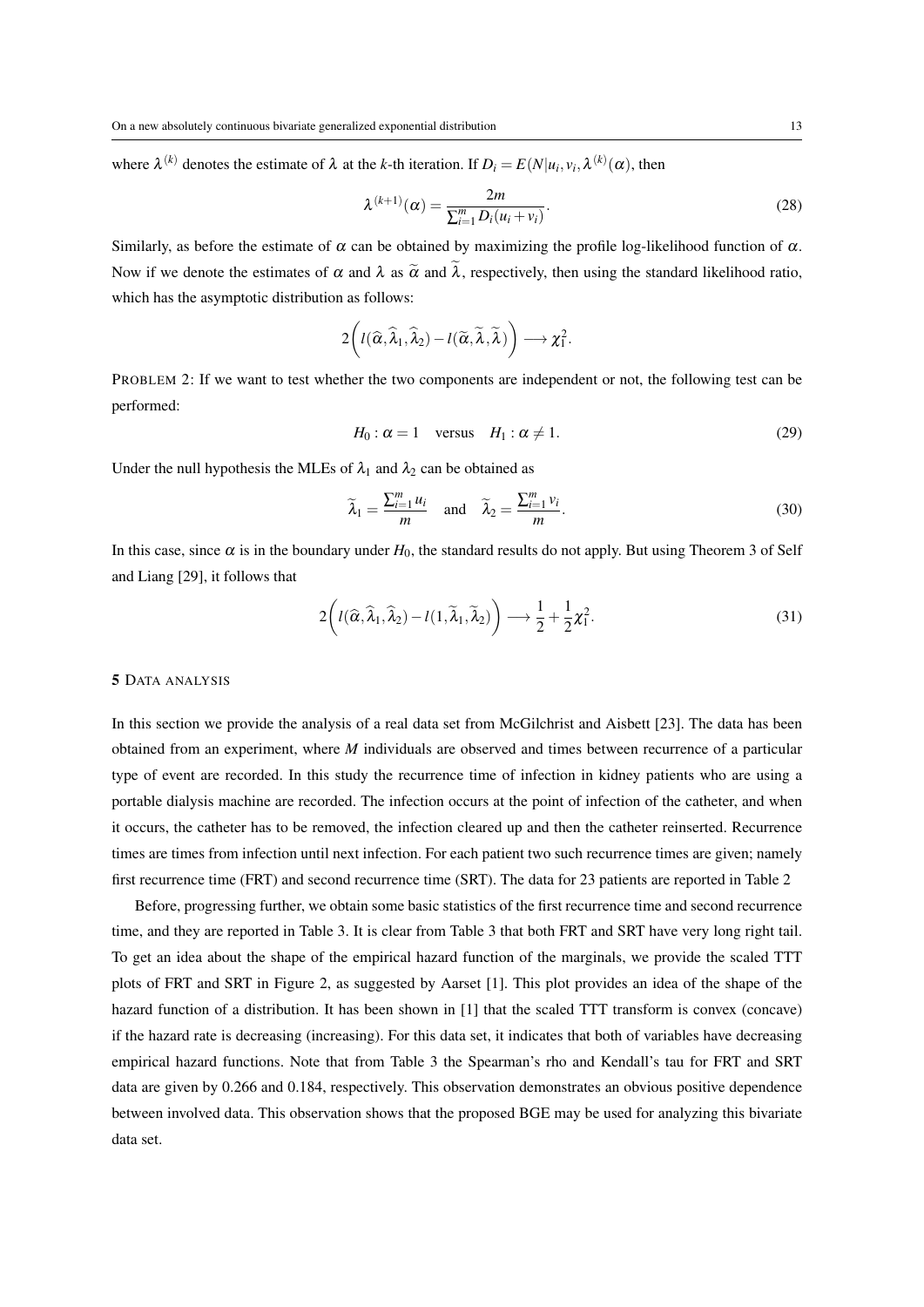where  $\lambda^{(k)}$  denotes the estimate of  $\lambda$  at the *k*-th iteration. If  $D_i = E(N|u_i, v_i, \lambda^{(k)}(\alpha))$ , then

$$
\lambda^{(k+1)}(\alpha) = \frac{2m}{\sum_{i=1}^{m} D_i(u_i + v_i)}.
$$
\n(28)

Similarly, as before the estimate of  $\alpha$  can be obtained by maximizing the profile log-likelihood function of  $\alpha$ . Now if we denote the estimates of  $\alpha$  and  $\lambda$  as  $\tilde{\alpha}$  and  $\tilde{\lambda}$ , respectively, then using the standard likelihood ratio, which has the asymptotic distribution as follows:

$$
2\bigg(l(\widehat{\alpha},\widehat{\lambda}_1,\widehat{\lambda}_2)-l(\widetilde{\alpha},\widetilde{\lambda},\widetilde{\lambda})\bigg)\longrightarrow \chi_1^2.
$$

PROBLEM 2: If we want to test whether the two components are independent or not, the following test can be performed:

$$
H_0: \alpha = 1 \quad \text{versus} \quad H_1: \alpha \neq 1. \tag{29}
$$

Under the null hypothesis the MLEs of  $\lambda_1$  and  $\lambda_2$  can be obtained as

$$
\widetilde{\lambda}_1 = \frac{\sum_{i=1}^m u_i}{m} \quad \text{and} \quad \widetilde{\lambda}_2 = \frac{\sum_{i=1}^m v_i}{m}.
$$
\n(30)

In this case, since  $\alpha$  is in the boundary under  $H_0$ , the standard results do not apply. But using Theorem 3 of Self and Liang [29], it follows that

$$
2\left(l(\widehat{\alpha},\widehat{\lambda}_1,\widehat{\lambda}_2)-l(1,\widetilde{\lambda}_1,\widetilde{\lambda}_2)\right)\longrightarrow \frac{1}{2}+\frac{1}{2}\chi_1^2.
$$
\n(31)

#### 5 DATA ANALYSIS

In this section we provide the analysis of a real data set from McGilchrist and Aisbett [23]. The data has been obtained from an experiment, where *M* individuals are observed and times between recurrence of a particular type of event are recorded. In this study the recurrence time of infection in kidney patients who are using a portable dialysis machine are recorded. The infection occurs at the point of infection of the catheter, and when it occurs, the catheter has to be removed, the infection cleared up and then the catheter reinserted. Recurrence times are times from infection until next infection. For each patient two such recurrence times are given; namely first recurrence time (FRT) and second recurrence time (SRT). The data for 23 patients are reported in Table 2

Before, progressing further, we obtain some basic statistics of the first recurrence time and second recurrence time, and they are reported in Table 3. It is clear from Table 3 that both FRT and SRT have very long right tail. To get an idea about the shape of the empirical hazard function of the marginals, we provide the scaled TTT plots of FRT and SRT in Figure 2, as suggested by Aarset [1]. This plot provides an idea of the shape of the hazard function of a distribution. It has been shown in [1] that the scaled TTT transform is convex (concave) if the hazard rate is decreasing (increasing). For this data set, it indicates that both of variables have decreasing empirical hazard functions. Note that from Table 3 the Spearman's rho and Kendall's tau for FRT and SRT data are given by 0.266 and 0.184, respectively. This observation demonstrates an obvious positive dependence between involved data. This observation shows that the proposed BGE may be used for analyzing this bivariate data set.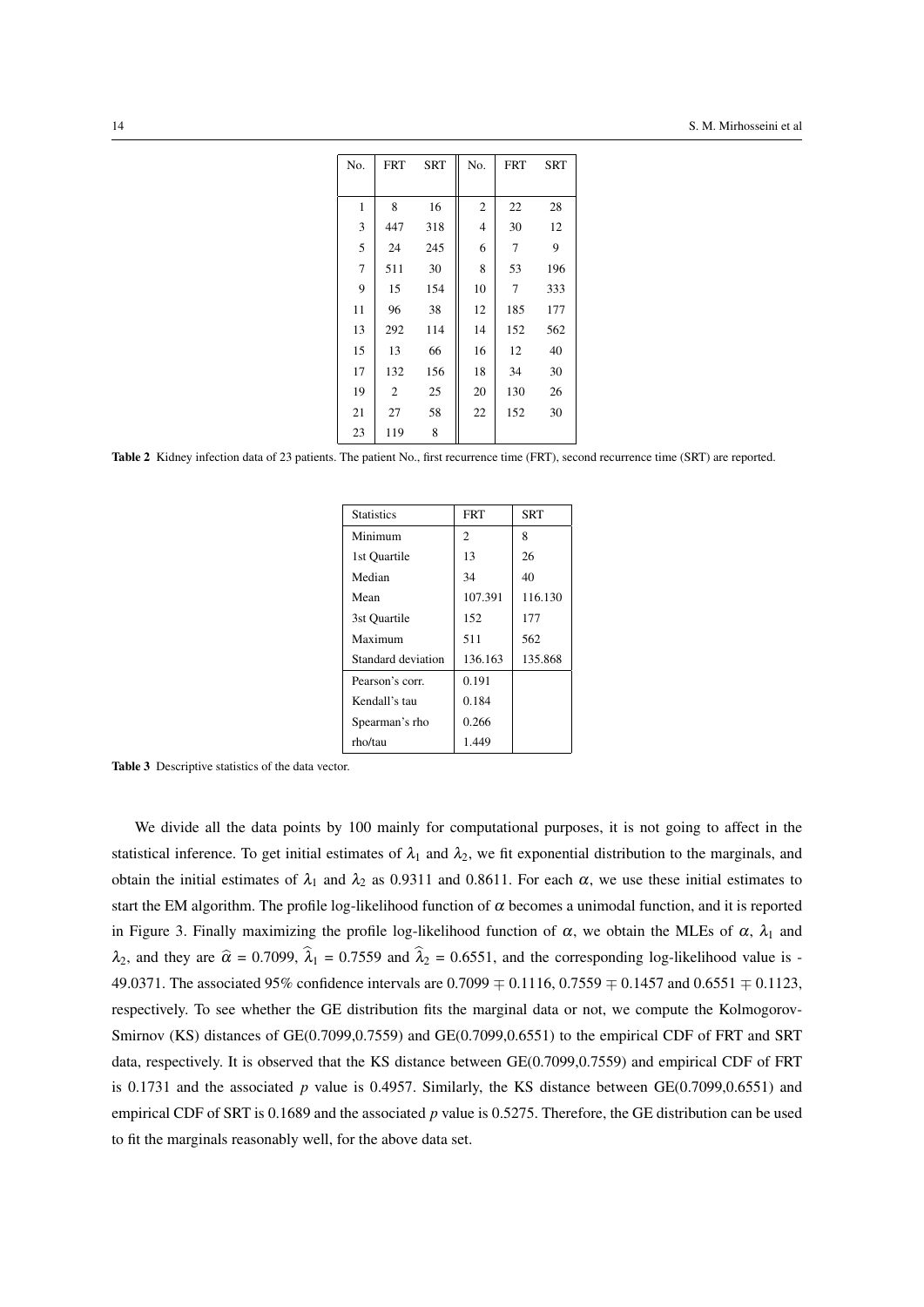| No.          | <b>FRT</b> | <b>SRT</b> | No.          | <b>FRT</b> | SRT |
|--------------|------------|------------|--------------|------------|-----|
|              |            |            |              |            |     |
| $\mathbf{1}$ | 8          | 16         | $\mathbf{2}$ | 22         | 28  |
| 3            | 447        | 318        | 4            | 30         | 12  |
| 5            | 24         | 245        | 6            | 7          | 9   |
| $\tau$       | 511        | 30         | 8            | 53         | 196 |
| 9            | 15         | 154        | 10           | 7          | 333 |
| 11           | 96         | 38         | 12           | 185        | 177 |
| 13           | 292        | 114        | 14           | 152        | 562 |
| 15           | 13         | 66         | 16           | 12         | 40  |
| 17           | 132        | 156        | 18           | 34         | 30  |
| 19           | 2          | 25         | 20           | 130        | 26  |
| 21           | 27         | 58         | 22           | 152        | 30  |
| 23           | 119        | 8          |              |            |     |

Table 2 Kidney infection data of 23 patients. The patient No., first recurrence time (FRT), second recurrence time (SRT) are reported.

| <b>Statistics</b>  | <b>FRT</b> | <b>SRT</b> |
|--------------------|------------|------------|
| Minimum            | 2          | 8          |
| 1st Quartile       | 13         | 26         |
| Median             | 34         | 40         |
| Mean               | 107.391    | 116.130    |
| 3st Ouartile       | 152        | 177        |
| Maximum            | 511        | 562        |
| Standard deviation | 136.163    | 135.868    |
| Pearson's corr.    | 0.191      |            |
| Kendall's tau      | 0.184      |            |
| Spearman's rho     | 0.266      |            |
| rho/tau            | 1.449      |            |

Table 3 Descriptive statistics of the data vector.

We divide all the data points by 100 mainly for computational purposes, it is not going to affect in the statistical inference. To get initial estimates of  $\lambda_1$  and  $\lambda_2$ , we fit exponential distribution to the marginals, and obtain the initial estimates of  $\lambda_1$  and  $\lambda_2$  as 0.9311 and 0.8611. For each  $\alpha$ , we use these initial estimates to start the EM algorithm. The profile log-likelihood function of  $\alpha$  becomes a unimodal function, and it is reported in Figure 3. Finally maximizing the profile log-likelihood function of  $\alpha$ , we obtain the MLEs of  $\alpha$ ,  $\lambda_1$  and  $\lambda_2$ , and they are  $\hat{\alpha} = 0.7099$ ,  $\hat{\lambda}_1 = 0.7559$  and  $\hat{\lambda}_2 = 0.6551$ , and the corresponding log-likelihood value is -49.0371. The associated 95% confidence intervals are 0.7099 *∓* 0.1116, 0.7559 *∓* 0.1457 and 0.6551 *∓* 0.1123, respectively. To see whether the GE distribution fits the marginal data or not, we compute the Kolmogorov-Smirnov (KS) distances of GE(0.7099,0.7559) and GE(0.7099,0.6551) to the empirical CDF of FRT and SRT data, respectively. It is observed that the KS distance between GE(0.7099,0.7559) and empirical CDF of FRT is 0.1731 and the associated  $p$  value is 0.4957. Similarly, the KS distance between  $GE(0.7099,0.6551)$  and empirical CDF of SRT is 0.1689 and the associated *p* value is 0.5275. Therefore, the GE distribution can be used to fit the marginals reasonably well, for the above data set.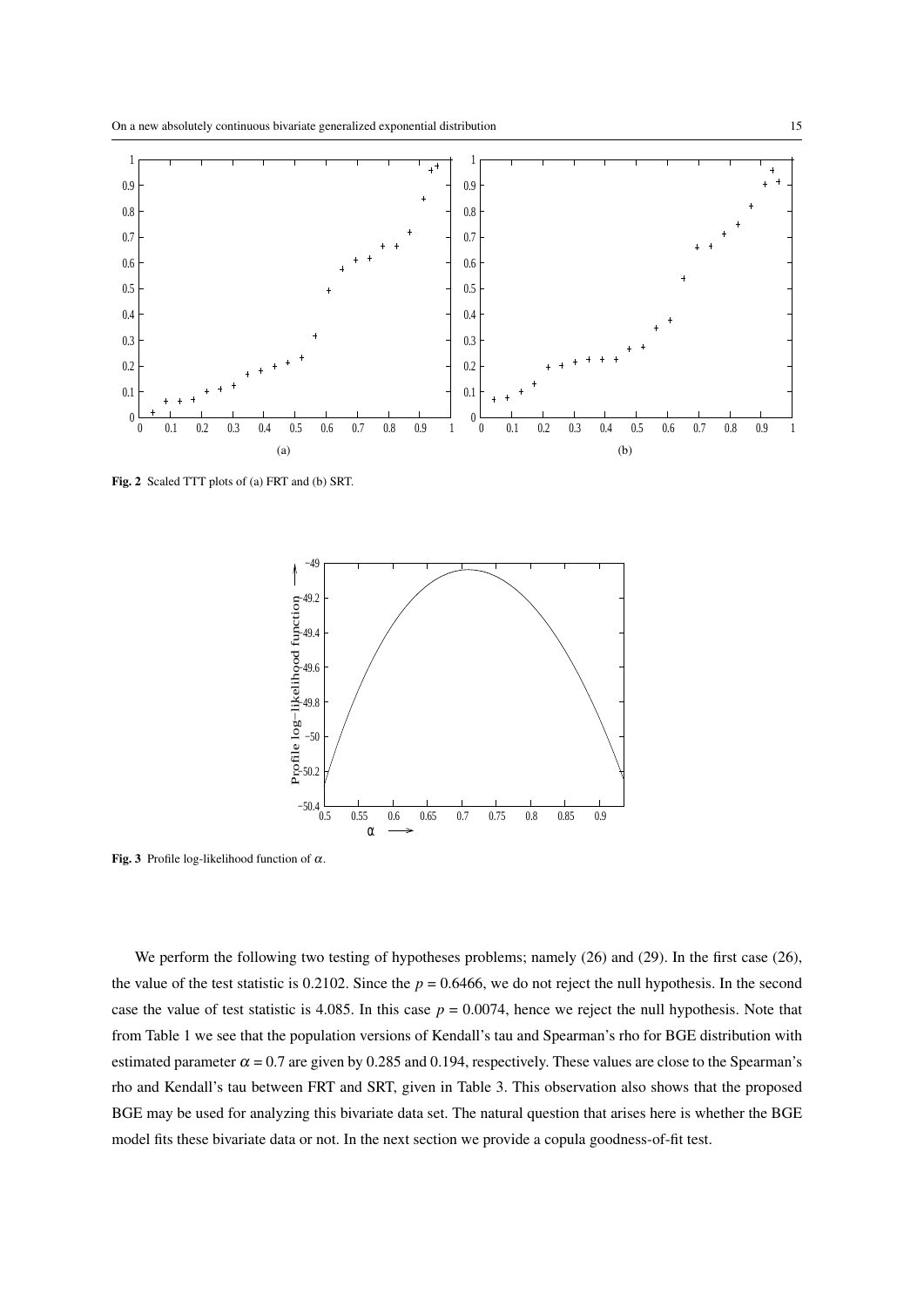

Fig. 2 Scaled TTT plots of (a) FRT and (b) SRT.



Fig. 3 Profile log-likelihood function of  $\alpha$ .

We perform the following two testing of hypotheses problems; namely  $(26)$  and  $(29)$ . In the first case  $(26)$ , the value of the test statistic is 0.2102. Since the  $p = 0.6466$ , we do not reject the null hypothesis. In the second case the value of test statistic is 4.085. In this case  $p = 0.0074$ , hence we reject the null hypothesis. Note that from Table 1 we see that the population versions of Kendall's tau and Spearman's rho for BGE distribution with estimated parameter  $\alpha = 0.7$  are given by 0.285 and 0.194, respectively. These values are close to the Spearman's rho and Kendall's tau between FRT and SRT, given in Table 3. This observation also shows that the proposed BGE may be used for analyzing this bivariate data set. The natural question that arises here is whether the BGE model fits these bivariate data or not. In the next section we provide a copula goodness-of-fit test.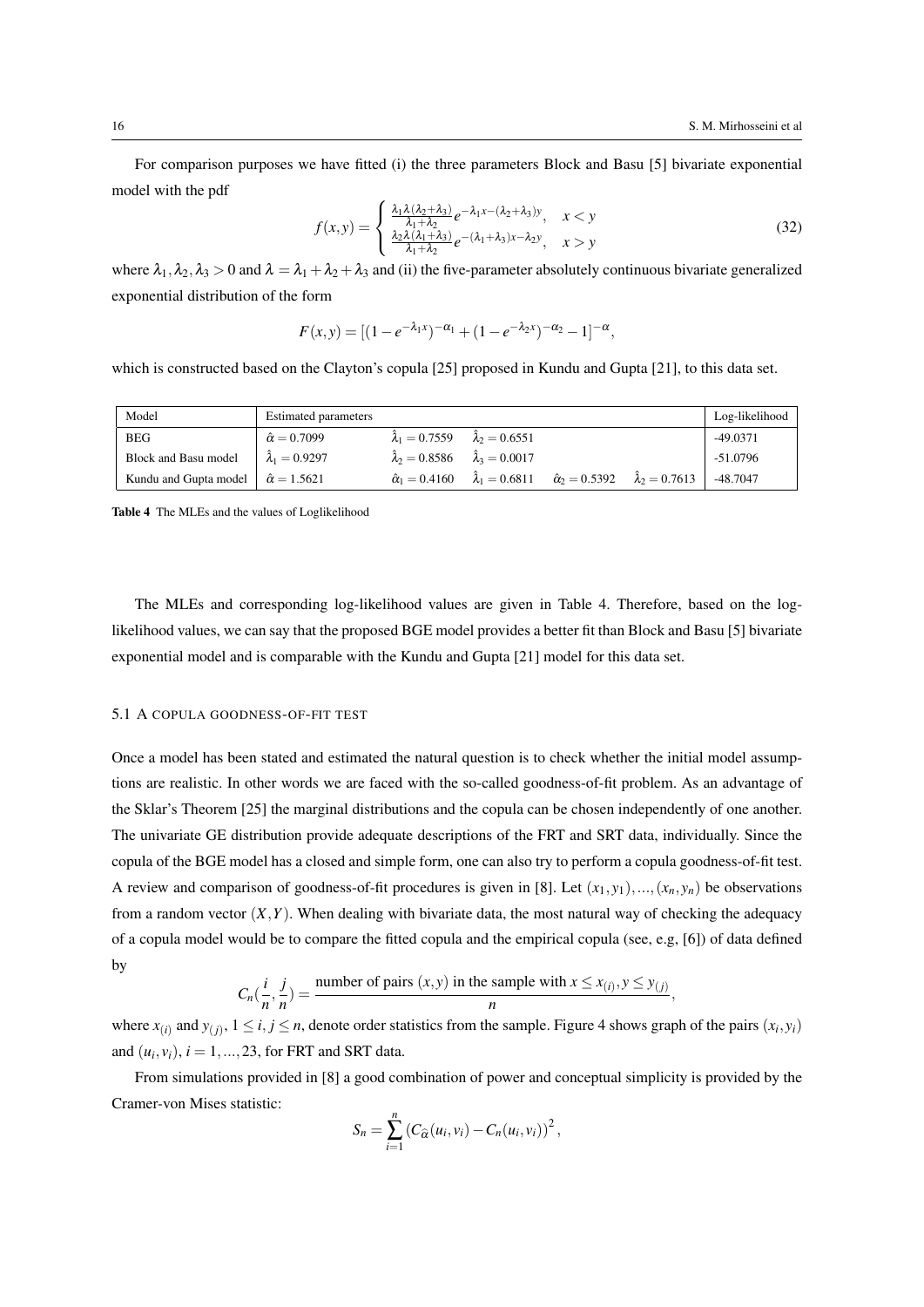For comparison purposes we have fitted (i) the three parameters Block and Basu [5] bivariate exponential model with the pdf

$$
f(x,y) = \begin{cases} \frac{\lambda_1 \lambda (\lambda_2 + \lambda_3)}{\lambda_1 + \lambda_2} e^{-\lambda_1 x - (\lambda_2 + \lambda_3)y}, & x < y \\ \frac{\lambda_2 \lambda (\lambda_1 + \lambda_3)}{\lambda_1 + \lambda_2} e^{-(\lambda_1 + \lambda_3)x - \lambda_2 y}, & x > y \end{cases}
$$
(32)

where  $\lambda_1, \lambda_2, \lambda_3 > 0$  and  $\lambda = \lambda_1 + \lambda_2 + \lambda_3$  and (ii) the five-parameter absolutely continuous bivariate generalized exponential distribution of the form

$$
F(x,y) = [(1 - e^{-\lambda_1 x})^{-\alpha_1} + (1 - e^{-\lambda_2 x})^{-\alpha_2} - 1]^{-\alpha},
$$

which is constructed based on the Clayton's copula [25] proposed in Kundu and Gupta [21], to this data set.

| Model                                         | <b>Estimated parameters</b> |                                                       |                                                                                                           | Log-likelihood |
|-----------------------------------------------|-----------------------------|-------------------------------------------------------|-----------------------------------------------------------------------------------------------------------|----------------|
| <b>BEG</b>                                    | $\hat{\alpha} = 0.7099$     | $\hat{\lambda}_1 = 0.7559$ $\hat{\lambda}_2 = 0.6551$ |                                                                                                           | -49.0371       |
| Block and Basu model                          | $\hat{\lambda}_1 = 0.9297$  | $\hat{\lambda}_2 = 0.8586$ $\hat{\lambda}_3 = 0.0017$ |                                                                                                           | $-51.0796$     |
| Kundu and Gupta model $\hat{\alpha} = 1.5621$ |                             |                                                       | $\hat{\alpha}_1 = 0.4160$ $\hat{\lambda}_1 = 0.6811$ $\hat{\alpha}_2 = 0.5392$ $\hat{\lambda}_2 = 0.7613$ | -48.7047       |

Table 4 The MLEs and the values of Loglikelihood

The MLEs and corresponding log-likelihood values are given in Table 4. Therefore, based on the loglikelihood values, we can say that the proposed BGE model provides a better fit than Block and Basu [5] bivariate exponential model and is comparable with the Kundu and Gupta [21] model for this data set.

#### 5.1 A COPULA GOODNESS-OF-FIT TEST

Once a model has been stated and estimated the natural question is to check whether the initial model assumptions are realistic. In other words we are faced with the so-called goodness-of-fit problem. As an advantage of the Sklar's Theorem [25] the marginal distributions and the copula can be chosen independently of one another. The univariate GE distribution provide adequate descriptions of the FRT and SRT data, individually. Since the copula of the BGE model has a closed and simple form, one can also try to perform a copula goodness-of-fit test. A review and comparison of goodness-of-fit procedures is given in [8]. Let  $(x_1, y_1), ..., (x_n, y_n)$  be observations from a random vector  $(X, Y)$ . When dealing with bivariate data, the most natural way of checking the adequacy of a copula model would be to compare the fitted copula and the empirical copula (see, e.g, [6]) of data defined by

$$
C_n(\frac{i}{n}, \frac{j}{n}) = \frac{\text{number of pairs } (x, y) \text{ in the sample with } x \leq x_{(i)}, y \leq y_{(j)}}{n},
$$

where  $x_{(i)}$  and  $y_{(j)}$ ,  $1 \le i, j \le n$ , denote order statistics from the sample. Figure 4 shows graph of the pairs  $(x_i, y_i)$ and  $(u_i, v_i)$ ,  $i = 1, \ldots, 23$ , for FRT and SRT data.

From simulations provided in [8] a good combination of power and conceptual simplicity is provided by the Cramer-von Mises statistic:

$$
S_n = \sum_{i=1}^n \left( C_{\widehat{\alpha}}(u_i, v_i) - C_n(u_i, v_i) \right)^2,
$$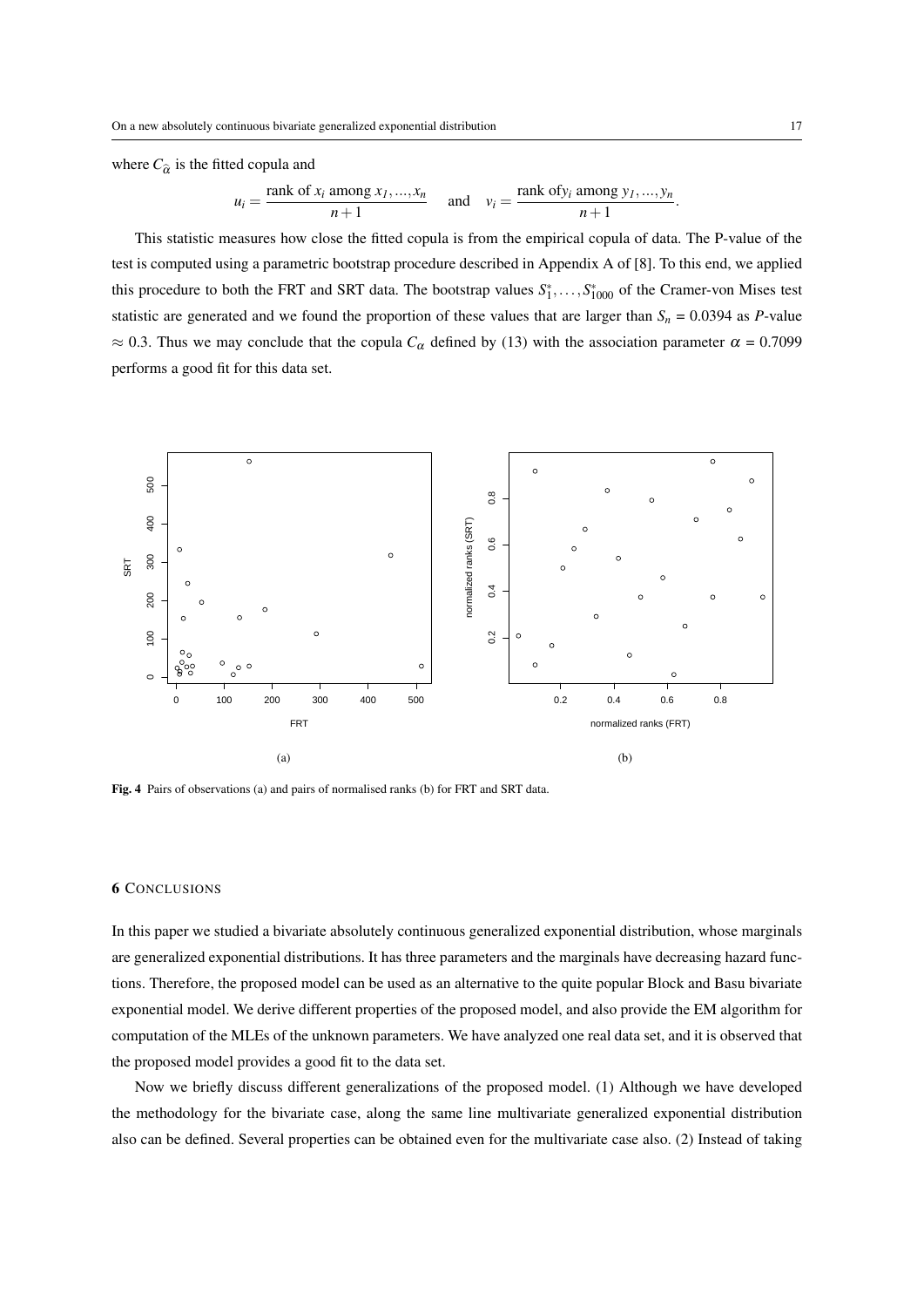where  $C_{\hat{\alpha}}$  is the fitted copula and

$$
u_i = \frac{\text{rank of } x_i \text{ among } x_1, ..., x_n}{n+1} \quad \text{and} \quad v_i = \frac{\text{rank of } y_i \text{ among } y_1, ..., y_n}{n+1}.
$$

This statistic measures how close the fitted copula is from the empirical copula of data. The P-value of the test is computed using a parametric bootstrap procedure described in Appendix A of [8]. To this end, we applied this procedure to both the FRT and SRT data. The bootstrap values  $S_1^*, \ldots, S_{1000}^*$  of the Cramer-von Mises test statistic are generated and we found the proportion of these values that are larger than  $S_n = 0.0394$  as *P*-value  $\approx$  0.3. Thus we may conclude that the copula  $C_{\alpha}$  defined by (13) with the association parameter  $\alpha$  = 0.7099 performs a good fit for this data set.



Fig. 4 Pairs of observations (a) and pairs of normalised ranks (b) for FRT and SRT data.

#### 6 CONCLUSIONS

In this paper we studied a bivariate absolutely continuous generalized exponential distribution, whose marginals are generalized exponential distributions. It has three parameters and the marginals have decreasing hazard functions. Therefore, the proposed model can be used as an alternative to the quite popular Block and Basu bivariate exponential model. We derive different properties of the proposed model, and also provide the EM algorithm for computation of the MLEs of the unknown parameters. We have analyzed one real data set, and it is observed that the proposed model provides a good fit to the data set.

Now we briefly discuss different generalizations of the proposed model. (1) Although we have developed the methodology for the bivariate case, along the same line multivariate generalized exponential distribution also can be defined. Several properties can be obtained even for the multivariate case also. (2) Instead of taking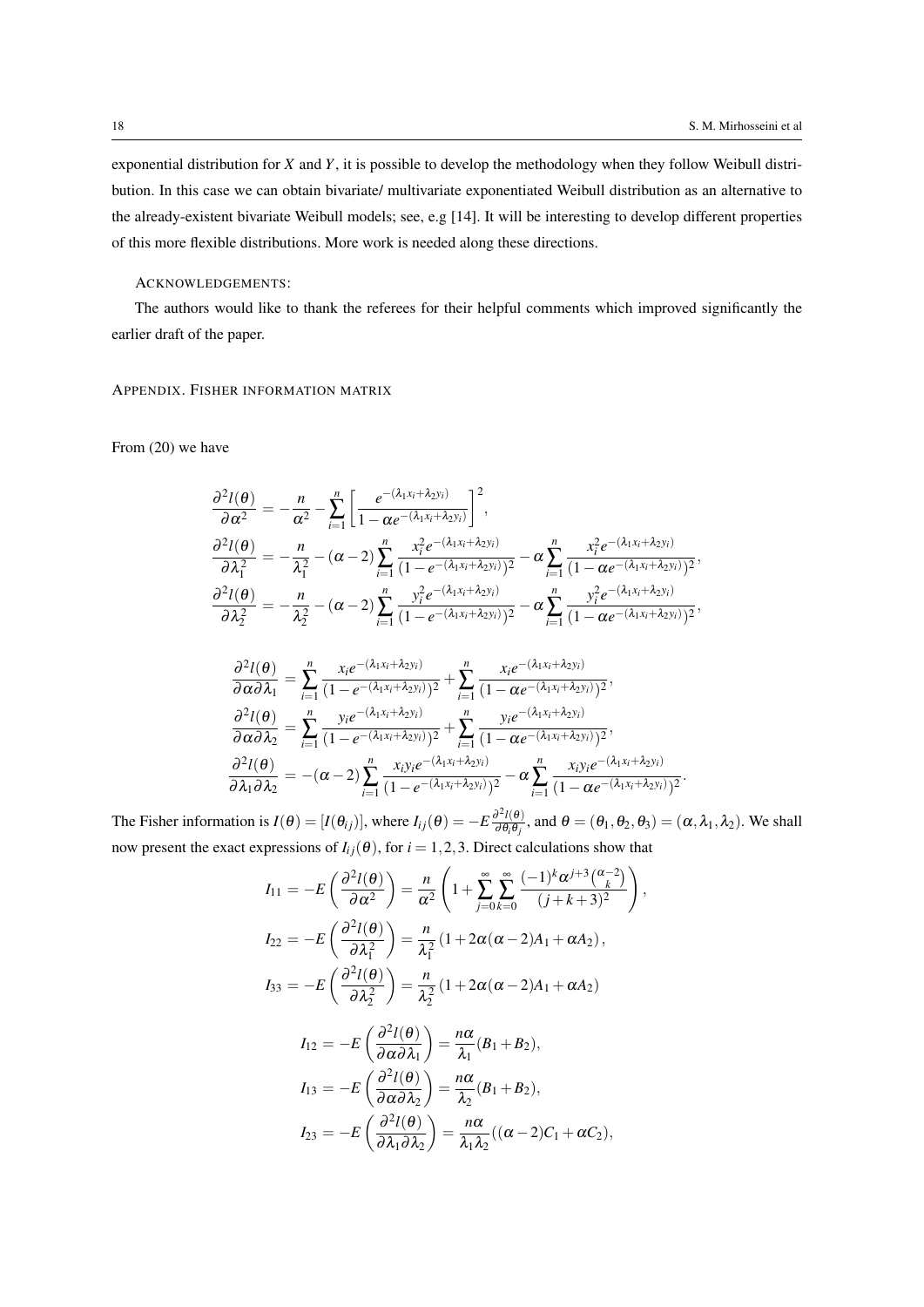exponential distribution for *X* and *Y*, it is possible to develop the methodology when they follow Weibull distribution. In this case we can obtain bivariate/ multivariate exponentiated Weibull distribution as an alternative to the already-existent bivariate Weibull models; see, e.g [14]. It will be interesting to develop different properties of this more flexible distributions. More work is needed along these directions.

# ACKNOWLEDGEMENTS:

The authors would like to thank the referees for their helpful comments which improved significantly the earlier draft of the paper.

# APPENDIX. FISHER INFORMATION MATRIX

From (20) we have

$$
\frac{\partial^2 l(\theta)}{\partial \alpha^2} = -\frac{n}{\alpha^2} - \sum_{i=1}^n \left[ \frac{e^{-(\lambda_1 x_i + \lambda_2 y_i)}}{1 - \alpha e^{-(\lambda_1 x_i + \lambda_2 y_i)}} \right]^2,
$$
\n
$$
\frac{\partial^2 l(\theta)}{\partial \lambda_1^2} = -\frac{n}{\lambda_1^2} - (\alpha - 2) \sum_{i=1}^n \frac{x_i^2 e^{-(\lambda_1 x_i + \lambda_2 y_i)}}{(1 - e^{-(\lambda_1 x_i + \lambda_2 y_i)})^2} - \alpha \sum_{i=1}^n \frac{x_i^2 e^{-(\lambda_1 x_i + \lambda_2 y_i)}}{(1 - \alpha e^{-(\lambda_1 x_i + \lambda_2 y_i)})^2},
$$
\n
$$
\frac{\partial^2 l(\theta)}{\partial \lambda_2^2} = -\frac{n}{\lambda_2^2} - (\alpha - 2) \sum_{i=1}^n \frac{y_i^2 e^{-(\lambda_1 x_i + \lambda_2 y_i)}}{(1 - e^{-(\lambda_1 x_i + \lambda_2 y_i)})^2} - \alpha \sum_{i=1}^n \frac{y_i^2 e^{-(\lambda_1 x_i + \lambda_2 y_i)}}{(1 - \alpha e^{-(\lambda_1 x_i + \lambda_2 y_i)})^2},
$$

$$
\frac{\partial^2 l(\theta)}{\partial \alpha \partial \lambda_1} = \sum_{i=1}^n \frac{x_i e^{-(\lambda_1 x_i + \lambda_2 y_i)}}{(1 - e^{-(\lambda_1 x_i + \lambda_2 y_i)})^2} + \sum_{i=1}^n \frac{x_i e^{-(\lambda_1 x_i + \lambda_2 y_i)}}{(1 - \alpha e^{-(\lambda_1 x_i + \lambda_2 y_i)})^2},
$$
  

$$
\frac{\partial^2 l(\theta)}{\partial \alpha \partial \lambda_2} = \sum_{i=1}^n \frac{y_i e^{-(\lambda_1 x_i + \lambda_2 y_i)}}{(1 - e^{-(\lambda_1 x_i + \lambda_2 y_i)})^2} + \sum_{i=1}^n \frac{y_i e^{-(\lambda_1 x_i + \lambda_2 y_i)}}{(1 - \alpha e^{-(\lambda_1 x_i + \lambda_2 y_i)})^2},
$$
  

$$
\frac{\partial^2 l(\theta)}{\partial \lambda_1 \partial \lambda_2} = -(\alpha - 2) \sum_{i=1}^n \frac{x_i y_i e^{-(\lambda_1 x_i + \lambda_2 y_i)}}{(1 - e^{-(\lambda_1 x_i + \lambda_2 y_i)})^2} - \alpha \sum_{i=1}^n \frac{x_i y_i e^{-(\lambda_1 x_i + \lambda_2 y_i)}}{(1 - \alpha e^{-(\lambda_1 x_i + \lambda_2 y_i)})^2}.
$$

The Fisher information is  $I(\theta) = [I(\theta_{ij})]$ , where  $I_{ij}(\theta) = -E \frac{\partial^2 I(\theta)}{\partial \theta_{ij}}$  $\frac{\partial^2 l(\theta)}{\partial \theta_i \theta_j}$ , and  $\theta = (\theta_1, \theta_2, \theta_3) = (\alpha, \lambda_1, \lambda_2)$ . We shall now present the exact expressions of  $I_{ij}(\theta)$ , for  $i = 1, 2, 3$ . Direct calculations show that

$$
I_{11} = -E\left(\frac{\partial^2 l(\theta)}{\partial \alpha^2}\right) = \frac{n}{\alpha^2} \left(1 + \sum_{j=0}^{\infty} \sum_{k=0}^{\infty} \frac{(-1)^k \alpha^{j+3} \binom{\alpha-2}{k}}{(j+k+3)^2}\right),
$$
  
\n
$$
I_{22} = -E\left(\frac{\partial^2 l(\theta)}{\partial \lambda_1^2}\right) = \frac{n}{\lambda_1^2} \left(1 + 2\alpha(\alpha - 2)A_1 + \alpha A_2\right),
$$
  
\n
$$
I_{33} = -E\left(\frac{\partial^2 l(\theta)}{\partial \lambda_2^2}\right) = \frac{n}{\lambda_2^2} \left(1 + 2\alpha(\alpha - 2)A_1 + \alpha A_2\right)
$$
  
\n
$$
I_{12} = -E\left(\frac{\partial^2 l(\theta)}{\partial \lambda_2^2}\right) = \frac{n\alpha}{\lambda_1^2} (B_1 + B_2).
$$

$$
I_{12} = -E\left(\frac{\partial^2 I(\theta)}{\partial \alpha \partial \lambda_1}\right) = \frac{n\alpha}{\lambda_1}(B_1 + B_2),
$$
  
\n
$$
I_{13} = -E\left(\frac{\partial^2 I(\theta)}{\partial \alpha \partial \lambda_2}\right) = \frac{n\alpha}{\lambda_2}(B_1 + B_2),
$$
  
\n
$$
I_{23} = -E\left(\frac{\partial^2 I(\theta)}{\partial \lambda_1 \partial \lambda_2}\right) = \frac{n\alpha}{\lambda_1 \lambda_2}((\alpha - 2)C_1 + \alpha C_2),
$$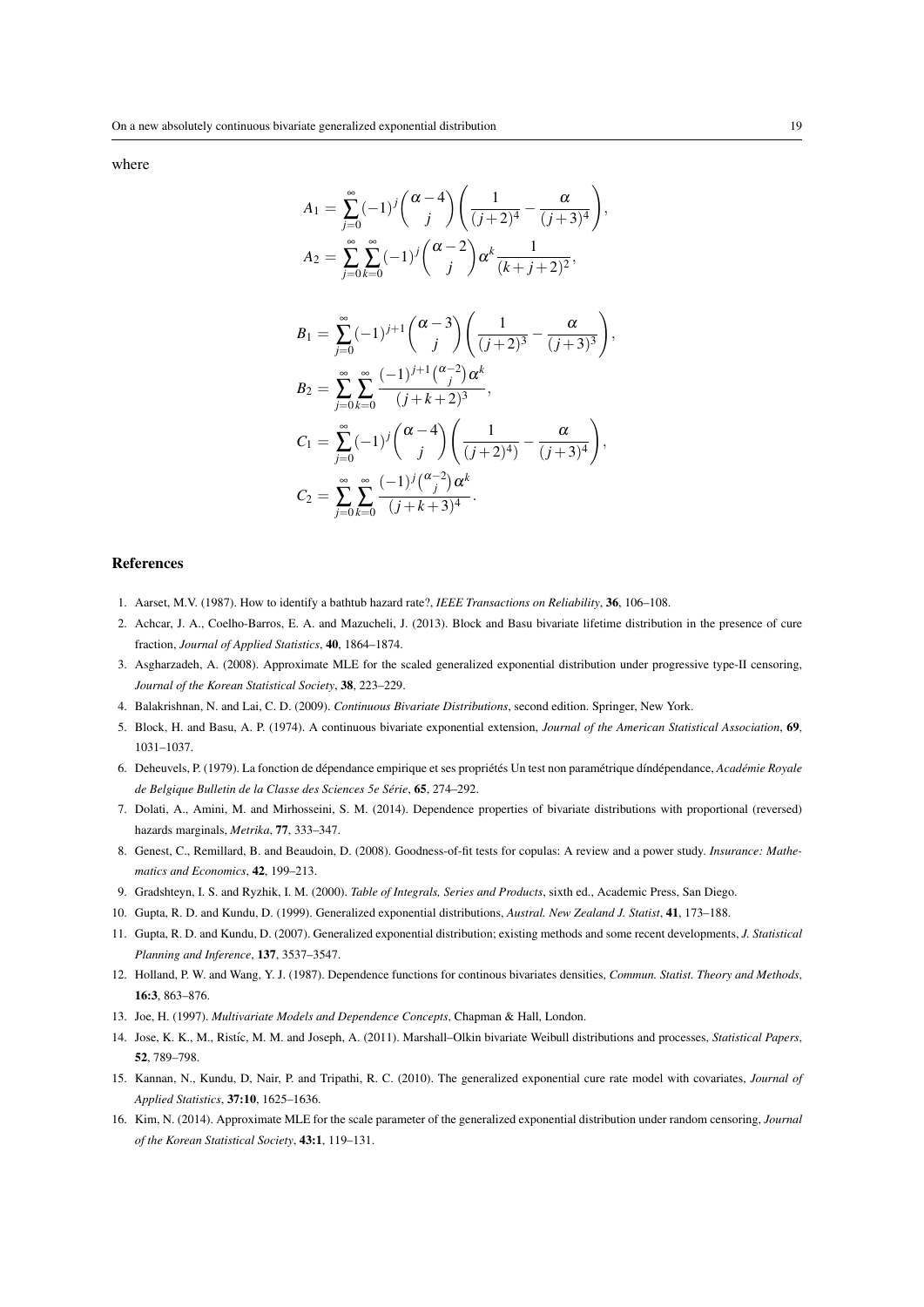where

$$
A_1 = \sum_{j=0}^{\infty} (-1)^j {\alpha - 4 \choose j} \left( \frac{1}{(j+2)^4} - \frac{\alpha}{(j+3)^4} \right),
$$
  
\n
$$
A_2 = \sum_{j=0}^{\infty} \sum_{k=0}^{\infty} (-1)^j {\alpha - 2 \choose j} \alpha^k \frac{1}{(k+j+2)^2},
$$
  
\n
$$
B_1 = \sum_{j=0}^{\infty} (-1)^{j+1} {\alpha - 3 \choose j} \left( \frac{1}{(j+2)^3} - \frac{\alpha}{(j+3)^3} \right),
$$
  
\n
$$
B_2 = \sum_{j=0}^{\infty} \sum_{k=0}^{\infty} \frac{(-1)^{j+1} {\alpha - 2 \choose j} \alpha^k}{(j+k+2)^3},
$$
  
\n
$$
C_1 = \sum_{j=0}^{\infty} (-1)^j {\alpha - 4 \choose j} \left( \frac{1}{(j+2)^4} - \frac{\alpha}{(j+3)^4} \right),
$$
  
\n
$$
C_2 = \sum_{j=0}^{\infty} \sum_{k=0}^{\infty} \frac{(-1)^j {\alpha - 2 \choose j} \alpha^k}{(j+k+3)^4}.
$$

#### References

- 1. Aarset, M.V. (1987). How to identify a bathtub hazard rate?, *IEEE Transactions on Reliability*, 36, 106–108.
- 2. Achcar, J. A., Coelho-Barros, E. A. and Mazucheli, J. (2013). Block and Basu bivariate lifetime distribution in the presence of cure fraction, *Journal of Applied Statistics*, 40, 1864–1874.
- 3. Asgharzadeh, A. (2008). Approximate MLE for the scaled generalized exponential distribution under progressive type-II censoring, *Journal of the Korean Statistical Society*, 38, 223–229.
- 4. Balakrishnan, N. and Lai, C. D. (2009). *Continuous Bivariate Distributions*, second edition. Springer, New York.
- 5. Block, H. and Basu, A. P. (1974). A continuous bivariate exponential extension, *Journal of the American Statistical Association*, 69, 1031–1037.
- 6. Deheuvels, P. (1979). La fonction de dépendance empirique et ses propriétés Un test non paramétrique díndépendance, Académie Royale *de Belgique Bulletin de la Classe des Sciences 5e Serie ´* , 65, 274–292.
- 7. Dolati, A., Amini, M. and Mirhosseini, S. M. (2014). Dependence properties of bivariate distributions with proportional (reversed) hazards marginals, *Metrika*, 77, 333–347.
- 8. Genest, C., Remillard, B. and Beaudoin, D. (2008). Goodness-of-fit tests for copulas: A review and a power study. *Insurance: Mathematics and Economics*, 42, 199–213.
- 9. Gradshteyn, I. S. and Ryzhik, I. M. (2000). *Table of Integrals, Series and Products*, sixth ed., Academic Press, San Diego.
- 10. Gupta, R. D. and Kundu, D. (1999). Generalized exponential distributions, *Austral. New Zealand J. Statist*, 41, 173–188.
- 11. Gupta, R. D. and Kundu, D. (2007). Generalized exponential distribution; existing methods and some recent developments, *J. Statistical Planning and Inference*, 137, 3537–3547.
- 12. Holland, P. W. and Wang, Y. J. (1987). Dependence functions for continous bivariates densities, *Commun. Statist. Theory and Methods*, 16:3, 863–876.
- 13. Joe, H. (1997). *Multivariate Models and Dependence Concepts*, Chapman & Hall, London.
- 14. Jose, K. K., M., Rist´ıc, M. M. and Joseph, A. (2011). Marshall–Olkin bivariate Weibull distributions and processes, *Statistical Papers*, 52, 789–798.
- 15. Kannan, N., Kundu, D, Nair, P. and Tripathi, R. C. (2010). The generalized exponential cure rate model with covariates, *Journal of Applied Statistics*, 37:10, 1625–1636.
- 16. Kim, N. (2014). Approximate MLE for the scale parameter of the generalized exponential distribution under random censoring, *Journal of the Korean Statistical Society*, 43:1, 119–131.